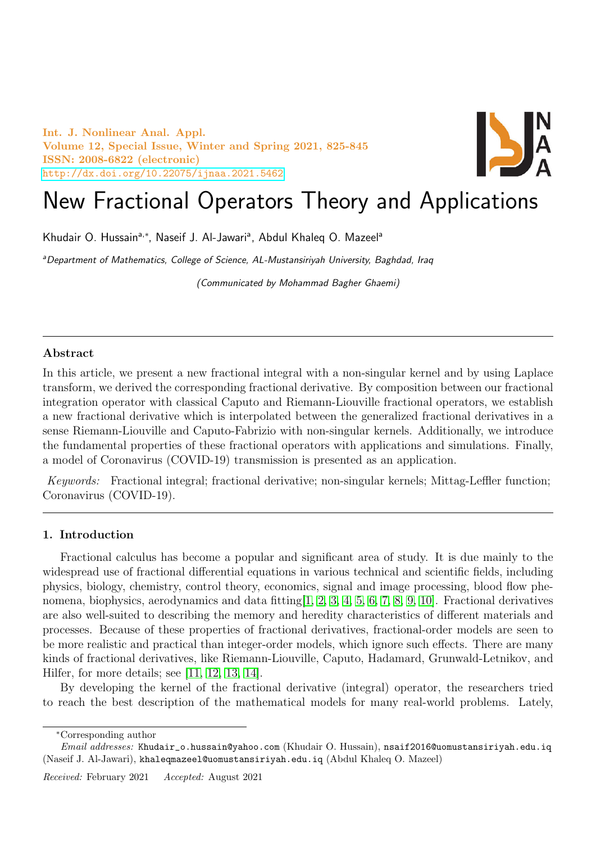Int. J. Nonlinear Anal. Appl. Volume 12, Special Issue, Winter and Spring 2021, 825-845 ISSN: 2008-6822 (electronic) <http://dx.doi.org/10.22075/ijnaa.2021.5462>



# New Fractional Operators Theory and Applications

Khudair O. Hussain<sup>a,\*</sup>, Naseif J. Al-Jawari<sup>a</sup>, Abdul Khaleq O. Mazeel<sup>a</sup>

aDepartment of Mathematics, College of Science, AL-Mustansiriyah University, Baghdad, Iraq

(Communicated by Mohammad Bagher Ghaemi)

# Abstract

In this article, we present a new fractional integral with a non-singular kernel and by using Laplace transform, we derived the corresponding fractional derivative. By composition between our fractional integration operator with classical Caputo and Riemann-Liouville fractional operators, we establish a new fractional derivative which is interpolated between the generalized fractional derivatives in a sense Riemann-Liouville and Caputo-Fabrizio with non-singular kernels. Additionally, we introduce the fundamental properties of these fractional operators with applications and simulations. Finally, a model of Coronavirus (COVID-19) transmission is presented as an application.

Keywords: Fractional integral; fractional derivative; non-singular kernels; Mittag-Leffler function; Coronavirus (COVID-19).

## 1. Introduction

Fractional calculus has become a popular and significant area of study. It is due mainly to the widespread use of fractional differential equations in various technical and scientific fields, including physics, biology, chemistry, control theory, economics, signal and image processing, blood flow phenomena, biophysics, aerodynamics and data fitting  $[1, 2, 3, 4, 5, 6, 7, 8, 9, 10]$  $[1, 2, 3, 4, 5, 6, 7, 8, 9, 10]$  $[1, 2, 3, 4, 5, 6, 7, 8, 9, 10]$  $[1, 2, 3, 4, 5, 6, 7, 8, 9, 10]$  $[1, 2, 3, 4, 5, 6, 7, 8, 9, 10]$  $[1, 2, 3, 4, 5, 6, 7, 8, 9, 10]$  $[1, 2, 3, 4, 5, 6, 7, 8, 9, 10]$  $[1, 2, 3, 4, 5, 6, 7, 8, 9, 10]$  $[1, 2, 3, 4, 5, 6, 7, 8, 9, 10]$  $[1, 2, 3, 4, 5, 6, 7, 8, 9, 10]$ . Fractional derivatives are also well-suited to describing the memory and heredity characteristics of different materials and processes. Because of these properties of fractional derivatives, fractional-order models are seen to be more realistic and practical than integer-order models, which ignore such effects. There are many kinds of fractional derivatives, like Riemann-Liouville, Caputo, Hadamard, Grunwald-Letnikov, and Hilfer, for more details; see [\[11,](#page-20-10) [12,](#page-20-11) [13,](#page-20-12) [14\]](#page-20-13).

By developing the kernel of the fractional derivative (integral) operator, the researchers tried to reach the best description of the mathematical models for many real-world problems. Lately,

<sup>∗</sup>Corresponding author

 $Email \ addresses:$  Khudair\_o.hussain@yahoo.com (Khudair O. Hussain), nsaif2016@uomustansiriyah.edu.iq (Naseif J. Al-Jawari), khaleqmazeel@uomustansiriyah.edu.iq (Abdul Khaleq O. Mazeel)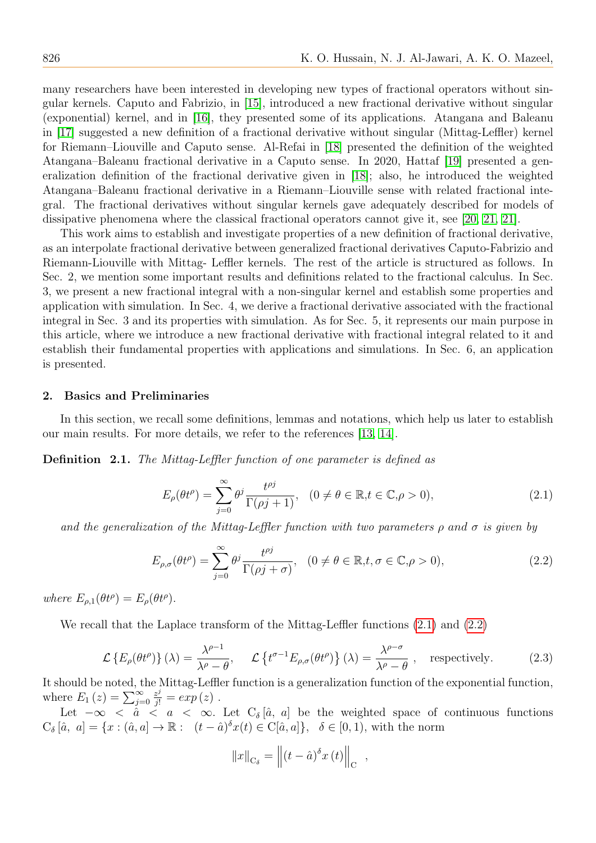many researchers have been interested in developing new types of fractional operators without singular kernels. Caputo and Fabrizio, in [\[15\]](#page-20-14), introduced a new fractional derivative without singular (exponential) kernel, and in [\[16\]](#page-20-15), they presented some of its applications. Atangana and Baleanu in [\[17\]](#page-20-16) suggested a new definition of a fractional derivative without singular (Mittag-Leffler) kernel for Riemann–Liouville and Caputo sense. Al-Refai in [\[18\]](#page-20-17) presented the definition of the weighted Atangana–Baleanu fractional derivative in a Caputo sense. In 2020, Hattaf [\[19\]](#page-20-18) presented a generalization definition of the fractional derivative given in [\[18\]](#page-20-17); also, he introduced the weighted Atangana–Baleanu fractional derivative in a Riemann–Liouville sense with related fractional integral. The fractional derivatives without singular kernels gave adequately described for models of dissipative phenomena where the classical fractional operators cannot give it, see [\[20,](#page-20-19) [21, 21\]](#page-20-20).

This work aims to establish and investigate properties of a new definition of fractional derivative, as an interpolate fractional derivative between generalized fractional derivatives Caputo-Fabrizio and Riemann-Liouville with Mittag- Leffler kernels. The rest of the article is structured as follows. In Sec. 2, we mention some important results and definitions related to the fractional calculus. In Sec. 3, we present a new fractional integral with a non-singular kernel and establish some properties and application with simulation. In Sec. 4, we derive a fractional derivative associated with the fractional integral in Sec. 3 and its properties with simulation. As for Sec. 5, it represents our main purpose in this article, where we introduce a new fractional derivative with fractional integral related to it and establish their fundamental properties with applications and simulations. In Sec. 6, an application is presented.

#### 2. Basics and Preliminaries

In this section, we recall some definitions, lemmas and notations, which help us later to establish our main results. For more details, we refer to the references [\[13,](#page-20-12) [14\]](#page-20-13).

<span id="page-1-2"></span>Definition 2.1. The Mittag-Leffler function of one parameter is defined as

<span id="page-1-0"></span>
$$
E_{\rho}(\theta t^{\rho}) = \sum_{j=0}^{\infty} \theta^{j} \frac{t^{\rho j}}{\Gamma(\rho j + 1)}, \quad (0 \neq \theta \in \mathbb{R}, t \in \mathbb{C}, \rho > 0), \tag{2.1}
$$

and the generalization of the Mittag-Leffler function with two parameters  $\rho$  and  $\sigma$  is given by

<span id="page-1-1"></span>
$$
E_{\rho,\sigma}(\theta t^{\rho}) = \sum_{j=0}^{\infty} \theta^j \frac{t^{\rho j}}{\Gamma(\rho j + \sigma)}, \quad (0 \neq \theta \in \mathbb{R}, t, \sigma \in \mathbb{C}, \rho > 0),
$$
 (2.2)

where  $E_{\rho,1}(\theta t^{\rho}) = E_{\rho}(\theta t^{\rho}).$ 

We recall that the Laplace transform of the Mittag-Leffler functions [\(2.1\)](#page-1-0) and [\(2.2\)](#page-1-1)

<span id="page-1-3"></span>
$$
\mathcal{L}\left\{E_{\rho}(\theta t^{\rho})\right\}(\lambda) = \frac{\lambda^{\rho-1}}{\lambda^{\rho} - \theta}, \quad \mathcal{L}\left\{t^{\sigma-1}E_{\rho,\sigma}(\theta t^{\rho})\right\}(\lambda) = \frac{\lambda^{\rho-\sigma}}{\lambda^{\rho} - \theta}, \quad \text{respectively.} \tag{2.3}
$$

It should be noted, the Mittag-Leffler function is a generalization function of the exponential function, where  $E_1(z) = \sum_{j=0}^{\infty}$  $\frac{z^j}{j!} = exp(z)$ .

Let  $-\infty < \dot{a} < a < \infty$ . Let  $C_{\delta}[\hat{a}, a]$  be the weighted space of continuous functions  $C_{\delta}[\hat{a}, a] = \{x : (\hat{a}, a] \to \mathbb{R} : (t - \hat{a})^{\delta}x(t) \in C[\hat{a}, a]\}, \delta \in [0, 1)$ , with the norm

$$
||x||_{\mathcal{C}_{\delta}} = ||(t - \hat{a})^{\delta} x(t)||_{\mathcal{C}} ,
$$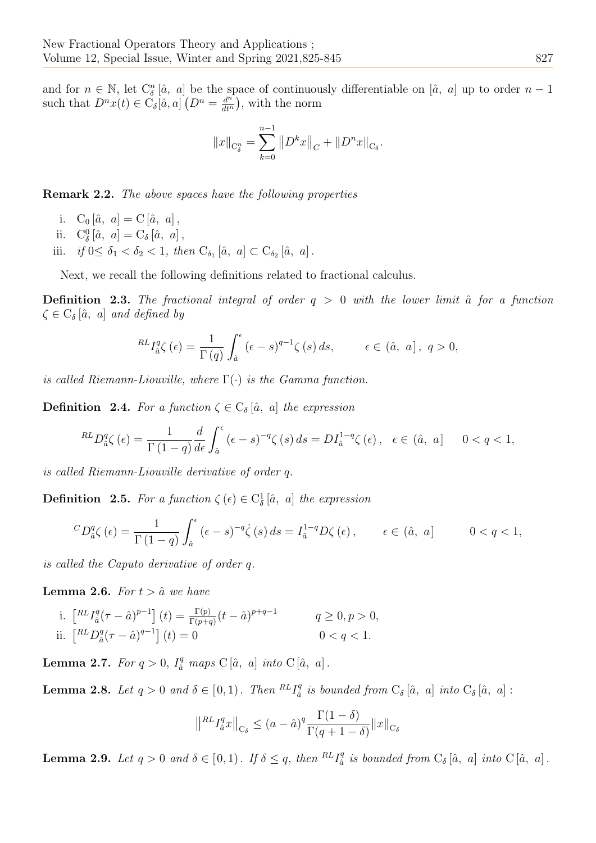and for  $n \in \mathbb{N}$ , let  $C_{\delta}^{n}[\hat{a}, a]$  be the space of continuously differentiable on  $[\hat{a}, a]$  up to order  $n-1$ such that  $D^{n}x(t) \in \check{C}_{\delta}[a,a]$   $(D^{n} = \frac{d^{n}}{dt^{n}})$  $\frac{d^n}{dt^n}$ , with the norm

<span id="page-2-0"></span>
$$
||x||_{C_{\delta}^n} = \sum_{k=0}^{n-1} ||D^k x||_C + ||D^nx||_{C_{\delta}}.
$$

<span id="page-2-4"></span>Remark 2.2. The above spaces have the following properties

- i.  $C_0 [\hat{a}, a] = C [\hat{a}, a],$
- ii.  $C^0_\delta[\hat{a}, a] = C_\delta[\hat{a}, a],$
- iii. *if*  $0 \leq \delta_1 < \delta_2 < 1$ , then  $C_{\delta_1}[\hat{a}, a] \subset C_{\delta_2}[\hat{a}, a]$ .

Next, we recall the following definitions related to fractional calculus.

**Definition 2.3.** The fractional integral of order  $q > 0$  with the lower limit  $\hat{a}$  for a function  $\zeta \in \mathrm{C}_{\delta}[\hat{a}, a]$  and defined by

$$
^{RL}I_{\hat{a}}^{q}\zeta\left(\epsilon\right) = \frac{1}{\Gamma\left(q\right)} \int_{\hat{a}}^{\epsilon} \left(\epsilon - s\right)^{q-1} \zeta\left(s\right) ds, \qquad \epsilon \in \left(\hat{a}, \ a\right], \ q > 0,
$$

is called Riemann-Liouville, where  $\Gamma(\cdot)$  is the Gamma function.

**Definition 2.4.** For a function  $\zeta \in C_{\delta}[\hat{a}, a]$  the expression

$$
^{RL}D_{\hat{a}}^q \zeta(\epsilon) = \frac{1}{\Gamma(1-q)} \frac{d}{d\epsilon} \int_{\hat{a}}^{\epsilon} (\epsilon - s)^{-q} \zeta(s) \, ds = DI_{\hat{a}}^{1-q} \zeta(\epsilon), \quad \epsilon \in (\hat{a}, \, a] \qquad 0 < q < 1,
$$

is called Riemann-Liouville derivative of order q.

**Definition** 2.5. For a function  $\zeta$  ( $\epsilon$ )  $\in C^1_\delta$  [ $\hat{a}$ , a] the expression

$$
{}^{C}D_{\hat{a}}^q \zeta(\epsilon) = \frac{1}{\Gamma(1-q)} \int_{\hat{a}}^{\epsilon} (\epsilon - s)^{-q} \dot{\zeta}(s) ds = I_{\hat{a}}^{1-q} D\zeta(\epsilon), \qquad \epsilon \in (\hat{a}, a] \qquad 0 < q < 1,
$$

is called the Caputo derivative of order q.

<span id="page-2-2"></span>**Lemma 2.6.** For  $t > \hat{a}$  we have

i. 
$$
\left[ {}^{RL}I_{\hat{a}}^{q}(\tau - \hat{a})^{p-1} \right](t) = \frac{\Gamma(p)}{\Gamma(p+q)}(t - \hat{a})^{p+q-1}
$$
  $q \ge 0, p > 0,$   
ii.  $\left[ {}^{RL}D_{\hat{a}}^{q}(\tau - \hat{a})^{q-1} \right](t) = 0$   $0 < q < 1.$ 

**Lemma 2.7.** For  $q > 0$ ,  $I_{\hat{a}}^q$  maps  $C[\hat{a}, a]$  into  $C[\hat{a}, a]$ .

<span id="page-2-3"></span>**Lemma 2.8.** Let  $q > 0$  and  $\delta \in [0, 1)$ . Then  ${}^{RL}I^q_{\delta}$  $a_{\hat{a}}^q$  is bounded from  $C_{\delta}[\hat{a}, a]$  into  $C_{\delta}[\hat{a}, a]$ :

$$
\|^{RL} I_a^q x \|_{\mathcal{C}_\delta} \le (a - \hat{a})^q \frac{\Gamma(1 - \delta)}{\Gamma(q + 1 - \delta)} \|x\|_{\mathcal{C}_\delta}
$$

<span id="page-2-5"></span><span id="page-2-1"></span>**Lemma 2.9.** Let  $q > 0$  and  $\delta \in [0, 1]$ . If  $\delta \leq q$ , then  ${}^{RL}I^q_{\delta}$  $a_{\hat{a}}^q$  is bounded from  $C_{\delta}[\hat{a}, a]$  into  $C[\hat{a}, a]$ .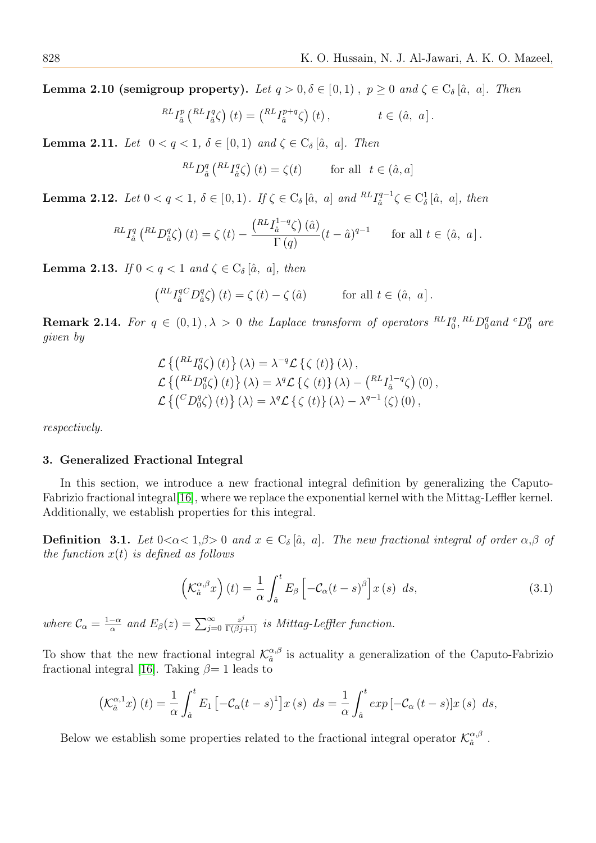**Lemma 2.10 (semigroup property).** Let  $q > 0, \delta \in [0, 1)$ ,  $p \ge 0$  and  $\zeta \in C_{\delta}[\hat{a}, a]$ . Then

$$
^{RL}I_{\hat{a}}^{p}\left( ^{RL}I_{\hat{a}}^{q}\zeta\right) (t)=\left( ^{RL}I_{\hat{a}}^{p+q}\zeta\right) (t)\,,\qquad t\in\left( \hat{a},\text{ }a\right] .
$$

Lemma 2.11. Let  $0 < q < 1$ ,  $\delta \in [0,1)$  and  $\zeta \in C_{\delta}[\hat{a}, a]$ . Then

$$
^{RL}D_{\hat{a}}^{q} \left( ^{RL}I_{\hat{a}}^{q} \zeta \right) (t) = \zeta (t) \qquad \text{for all} \ \ t \in (\hat{a}, a]
$$

**Lemma 2.12.** Let  $0 < q < 1$ ,  $\delta \in [0,1)$ . If  $\zeta \in C_{\delta}[\hat{a}, a]$  and  ${}^{RL}I_{\hat{a}}^{q-1}$  $a_i^{q-1} \zeta \in C^1_\delta [\hat{a}, a], \text{ then}$ 

$$
^{RL}I_{\hat{a}}^{q} \left( ^{RL}D_{\hat{a}}^{q} \zeta \right)(t) = \zeta \left( t \right) - \frac{\left( ^{RL}I_{\hat{a}}^{1-q} \zeta \right)(\hat{a})}{\Gamma \left( q \right)} (t - \hat{a})^{q-1} \quad \text{for all } t \in (\hat{a}, \ a] .
$$

Lemma 2.13. If  $0 < q < 1$  and  $\zeta \in C_{\delta}[\hat{a}, a]$ , then

$$
\left(\begin{smallmatrix} RL\,I_{\hat{a}}^{qC}D_{\hat{a}}^{q} \zeta \end{smallmatrix}\right)(t) = \zeta(t) - \zeta(\hat{a}) \quad \text{for all } t \in (\hat{a}, \ a]\,.
$$

<span id="page-3-2"></span>**Remark 2.14.** For  $q \in (0,1), \lambda > 0$  the Laplace transform of operators  ${}^{RL}I_0^q$  $L_0^q$ ,  ${}^{RL}D_0^q$  and  ${}^{c}D_0^q$  are given by

$$
\mathcal{L}\left\{ \left( {}^{RL}I_{0}^{q}\zeta \right)(t) \right\}(\lambda) = \lambda^{-q} \mathcal{L}\left\{ \zeta(t) \right\}(\lambda),
$$
\n
$$
\mathcal{L}\left\{ \left( {}^{RL}D_{0}^{q}\zeta \right)(t) \right\}(\lambda) = \lambda^{q} \mathcal{L}\left\{ \zeta(t) \right\}(\lambda) - \left( {}^{RL}I_{\hat{a}}^{1-q}\zeta \right)(0),
$$
\n
$$
\mathcal{L}\left\{ \left( {}^{C}D_{0}^{q}\zeta \right)(t) \right\}(\lambda) = \lambda^{q} \mathcal{L}\left\{ \zeta(t) \right\}(\lambda) - \lambda^{q-1}\left(\zeta\right)(0),
$$

respectively.

## 3. Generalized Fractional Integral

In this section, we introduce a new fractional integral definition by generalizing the Caputo-Fabrizio fractional integral[\[16\]](#page-20-15), where we replace the exponential kernel with the Mittag-Leffler kernel. Additionally, we establish properties for this integral.

<span id="page-3-0"></span>**Definition 3.1.** Let  $0 < \alpha < 1, \beta > 0$  and  $x \in C_{\delta}[\hat{a}, a]$ . The new fractional integral of order  $\alpha, \beta$  of the function  $x(t)$  is defined as follows

$$
\left(\mathcal{K}_{\hat{a}}^{\alpha,\beta}x\right)(t) = \frac{1}{\alpha} \int_{\hat{a}}^{t} E_{\beta} \left[-\mathcal{C}_{\alpha}(t-s)^{\beta}\right] x(s) \ ds,
$$
\n(3.1)

where  $\mathcal{C}_{\alpha} = \frac{1-\alpha}{\alpha}$  $\frac{-\alpha}{\alpha}$  and  $E_{\beta}(z) = \sum_{j=0}^{\infty}$  $\frac{z^j}{\Gamma(\beta j+1)}$  is Mittag-Leffler function.

To show that the new fractional integral  $\mathcal{K}_{a}^{\alpha,\beta}$  $\frac{\alpha,\beta}{\hat{a}}$  is actuality a generalization of the Caputo-Fabrizio fractional integral [\[16\]](#page-20-15). Taking  $\beta = 1$  leads to

$$
\left(\mathcal{K}_{\hat{a}}^{\alpha,1}x\right)(t) = \frac{1}{\alpha} \int_{\hat{a}}^{t} E_1\left[-\mathcal{C}_{\alpha}(t-s)^1\right]x(s) \ ds = \frac{1}{\alpha} \int_{\hat{a}}^{t} \exp\left[-\mathcal{C}_{\alpha}(t-s)\right]x(s) \ ds,
$$

<span id="page-3-1"></span>Below we establish some properties related to the fractional integral operator  $\mathcal{K}_{\hat{a}}^{\alpha,\beta}$  $\hat{a}^{\ \beta}$  .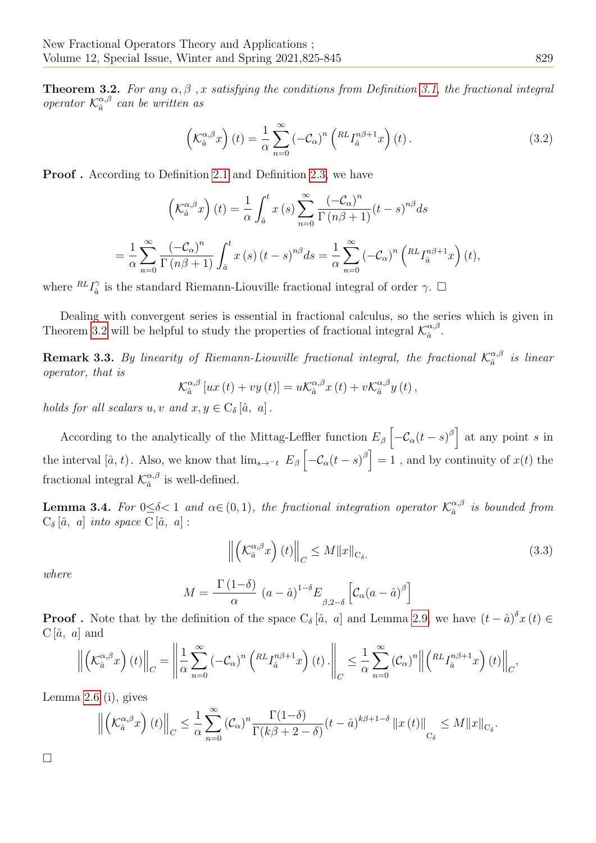**Theorem 3.2.** For any  $\alpha, \beta$ , x satisfying the conditions from Definition [3.1,](#page-3-0) the fractional integral operator  $\mathcal{K}_{\hat{a}}^{\alpha,\beta}$  $a^{a,\beta}$  can be written as

<span id="page-4-1"></span>
$$
\left(\mathcal{K}_{\hat{a}}^{\alpha,\beta}x\right)(t) = \frac{1}{\alpha}\sum_{n=0}^{\infty} \left(-\mathcal{C}_{\alpha}\right)^{n} \left(\mathcal{R}L_{\hat{a}}^{n\beta+1}x\right)(t).
$$
\n(3.2)

Proof . According to Definition [2.1](#page-1-2) and Definition [2.3,](#page-2-0) we have

$$
\left(\mathcal{K}_{\hat{a}}^{\alpha,\beta}x\right)(t) = \frac{1}{\alpha} \int_{\hat{a}}^{t} x(s) \sum_{n=0}^{\infty} \frac{\left(-\mathcal{C}_{\alpha}\right)^{n}}{\Gamma\left(n\beta + 1\right)} (t-s)^{n\beta} ds
$$

$$
= \frac{1}{\alpha} \sum_{n=0}^{\infty} \frac{\left(-\mathcal{C}_{\alpha}\right)^{n}}{\Gamma\left(n\beta + 1\right)} \int_{\hat{a}}^{t} x(s) \left(t-s\right)^{n\beta} ds = \frac{1}{\alpha} \sum_{n=0}^{\infty} \left(-\mathcal{C}_{\alpha}\right)^{n} \left(\mathcal{K}_{a}^{n\beta + 1}x\right)(t),
$$

where  ${}^{RL}I_{\hat{a}}^{\gamma}$  $\hat{a}$  is the standard Riemann-Liouville fractional integral of order  $\gamma$ .  $\Box$ 

Dealing with convergent series is essential in fractional calculus, so the series which is given in Theorem [3.2](#page-3-1) will be helpful to study the properties of fractional integral  $\mathcal{K}_{\hat{a}}^{\alpha,\beta}$  $\frac{\alpha}{\hat{a}}$ .

**Remark 3.3.** By linearity of Riemann-Liouville fractional integral, the fractional  $\mathcal{K}_{\hat{a}}^{\alpha,\beta}$  $\int_{a}^{\alpha,\beta}$  is linear operator, that is

$$
\mathcal{K}_{\hat{a}}^{\alpha,\beta}[ux(t)+vy(t)]=u\mathcal{K}_{\hat{a}}^{\alpha,\beta}x(t)+v\mathcal{K}_{\hat{a}}^{\alpha,\beta}y(t),
$$

holds for all scalars u, v and  $x, y \in C_{\delta}[\hat{a}, a]$ .

According to the analytically of the Mittag-Leffler function  $E_\beta \left[ -\mathcal{C}_\alpha(t-s)^\beta \right]$  at any point s in the interval [ $\hat{a}$ ,  $t$ ). Also, we know that  $\lim_{s\to -t} E_\beta \left[ -\mathcal{C}_\alpha(t-s)^\beta \right] = 1$ , and by continuity of  $x(t)$  the fractional integral  $\mathcal{K}_{\hat{a}}^{\alpha,\beta}$  $\frac{\alpha}{\hat{a}}$  is well-defined.

**Lemma 3.4.** For  $0 \le \delta < 1$  and  $\alpha \in (0, 1)$ , the fractional integration operator  $\mathcal{K}_{\hat{\alpha}}^{\alpha, \beta}$  $\hat{a}^{\alpha,\beta}$  is bounded from  $C_{\delta}[\hat{a}, a]$  into space  $C[\hat{a}, a]$ :

$$
\left\| \left( \mathcal{K}_{\hat{a}}^{\alpha,\beta} x \right) (t) \right\|_{C} \leq M \|x\|_{\mathcal{C}_{\delta}},\tag{3.3}
$$

where

$$
M = \frac{\Gamma(1-\delta)}{\alpha} (a - \hat{a})^{1-\delta} E_{\beta, 2-\delta} \left[ C_{\alpha} (a - \hat{a})^{\beta} \right]
$$

**Proof**. Note that by the definition of the space  $C_{\delta}[\hat{a}, a]$  and Lemma [2.9,](#page-2-1) we have  $(t - \hat{a})^{\delta} x(t) \in$  $C[\hat{a}, a]$  and

$$
\left\| \left( \mathcal{K}_{\hat{a}}^{\alpha,\beta} x \right) (t) \right\|_{C} = \left\| \frac{1}{\alpha} \sum_{n=0}^{\infty} \left( -\mathcal{C}_{\alpha} \right)^{n} \left( \mathcal{K} L_{\hat{a}}^{n\beta+1} x \right) (t) \right\|_{C} \leq \frac{1}{\alpha} \sum_{n=0}^{\infty} \left( \mathcal{C}_{\alpha} \right)^{n} \left\| \left( \mathcal{K} L_{\hat{a}}^{n\beta+1} x \right) (t) \right\|_{C},
$$

Lemma [2.6](#page-2-2) (i), gives

$$
\left\|\left(\mathcal{K}_{\hat{a}}^{\alpha,\beta}x\right)(t)\right\|_{C} \leq \frac{1}{\alpha} \sum_{n=0}^{\infty} \left(\mathcal{C}_{\alpha}\right)^{n} \frac{\Gamma(1-\delta)}{\Gamma(k\beta+2-\delta)}(t-\hat{a})^{k\beta+1-\delta} \left\|x\left(t\right)\right\|_{C_{\delta}} \leq M\|x\|_{C_{\delta}}.
$$

<span id="page-4-0"></span> $\Box$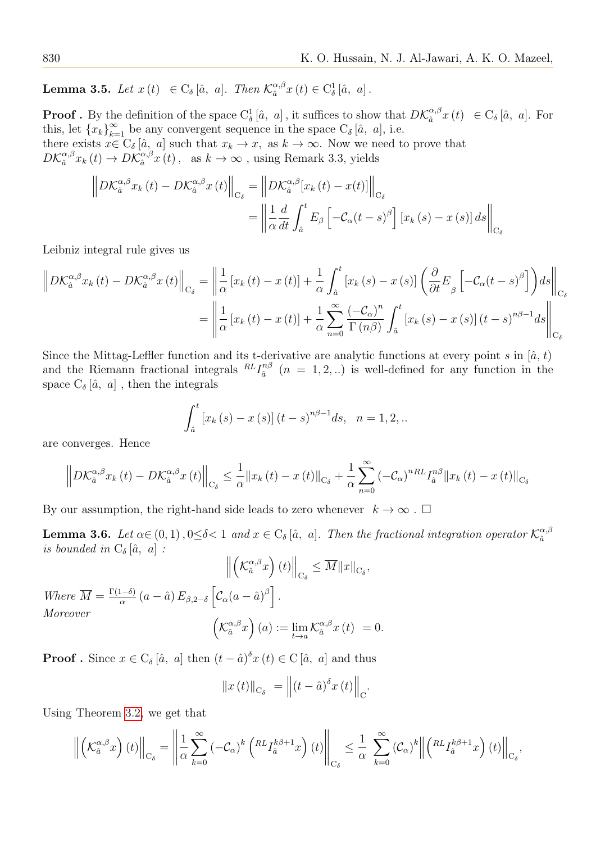**Lemma 3.5.** Let  $x(t) \in C_{\delta}[\hat{a}, a]$ . Then  $\mathcal{K}_{\hat{a}}^{\alpha,\beta}$  $\int_{\hat{a}}^{\alpha,\beta} x(t) \in C_{\delta}^{1} [\hat{a}, a].$ 

**Proof** . By the definition of the space  $C^1_\delta[\hat{a}, a]$ , it suffices to show that  $D\mathcal{K}_{\hat{a}}^{\alpha,\beta}$  $a_{\hat{a}}^{\alpha,\beta}x(t) \in C_{\delta}[\hat{a}, a]$ . For this, let  ${x_k}_{k=1}^{\infty}$  be any convergent sequence in the space  $C_{\delta}[\hat{a}, a]$ , i.e. there exists  $x \in C_{\delta}[\hat{a}, a]$  such that  $x_k \to x$ , as  $k \to \infty$ . Now we need to prove that

 $D\mathcal{K}_{\hat{a}}^{\alpha,\beta}$  $a_{\hat{a}}^{\alpha,\beta}x_{k}\left(t\right)\rightarrow D\mathcal{K}_{\hat{a}}^{\alpha,\beta}$  $_{a}^{\alpha,\beta}x(t)$ , as  $k\to\infty$ , using Remark 3.3, yields

$$
\left\|D\mathcal{K}_{\hat{a}}^{\alpha,\beta}x_{k}\left(t\right)-D\mathcal{K}_{\hat{a}}^{\alpha,\beta}x\left(t\right)\right\|_{\mathcal{C}_{\delta}}=\left\|D\mathcal{K}_{\hat{a}}^{\alpha,\beta}[x_{k}\left(t)-x(t)\right]\right\|_{\mathcal{C}_{\delta}}=\left\|\frac{1}{\alpha}\frac{d}{dt}\int_{\hat{a}}^{t}E_{\beta}\left[-\mathcal{C}_{\alpha}\left(t-s\right)^{\beta}\right]\left[x_{k}\left(s\right)-x\left(s\right)\right]ds\right\|_{\mathcal{C}_{\delta}}
$$

Leibniz integral rule gives us

$$
\left\|D\mathcal{K}_{\hat{a}}^{\alpha,\beta}x_{k}\left(t\right)-D\mathcal{K}_{\hat{a}}^{\alpha,\beta}x\left(t\right)\right\|_{C_{\delta}}=\left\|\frac{1}{\alpha}\left[x_{k}\left(t\right)-x\left(t\right)\right]+\frac{1}{\alpha}\int_{\hat{a}}^{t}\left[x_{k}\left(s\right)-x\left(s\right)\right]\left(\frac{\partial}{\partial t}E_{\beta}\left[-\mathcal{C}_{\alpha}\left(t-s\right)^{\beta}\right]\right)ds\right\|_{C_{\delta}}
$$
\n
$$
=\left\|\frac{1}{\alpha}\left[x_{k}\left(t\right)-x\left(t\right)\right]+\frac{1}{\alpha}\sum_{n=0}^{\infty}\frac{\left(-\mathcal{C}_{\alpha}\right)^{n}}{\Gamma\left(n\beta\right)}\int_{\hat{a}}^{t}\left[x_{k}\left(s\right)-x\left(s\right)\right]\left(t-s\right)^{n\beta-1}ds\right\|_{C_{\delta}}
$$

Since the Mittag-Leffler function and its t-derivative are analytic functions at every point s in  $[\hat{a}, t]$ and the Riemann fractional integrals  ${}^{RL}I_{\hat{a}}^{n\beta}$  $a_i^{n\beta}$   $(n = 1, 2, ...)$  is well-defined for any function in the space  $C_{\delta}[\hat{a}, a]$ , then the integrals

$$
\int_{\hat{a}}^{t} \left[ x_{k} \left( s \right) - x \left( s \right) \right] \left( t - s \right)^{n\beta - 1} ds, \quad n = 1, 2, ...
$$

are converges. Hence

$$
\left\|D\mathcal{K}_{\hat{a}}^{\alpha,\beta}x_{k}\left(t\right)-D\mathcal{K}_{\hat{a}}^{\alpha,\beta}x\left(t\right)\right\|_{\mathcal{C}_{\delta}}\leq\frac{1}{\alpha}\left\|x_{k}\left(t\right)-x\left(t\right)\right\|_{\mathcal{C}_{\delta}}+\frac{1}{\alpha}\sum_{n=0}^{\infty}\left(-\mathcal{C}_{\alpha}\right)^{nRL}I_{\hat{a}}^{n\beta}\left\|x_{k}\left(t\right)-x\left(t\right)\right\|_{\mathcal{C}_{\delta}}
$$

<span id="page-5-0"></span>By our assumption, the right-hand side leads to zero whenever  $k \to \infty$ .  $\Box$ 

**Lemma 3.6.** Let  $\alpha \in (0,1)$ ,  $0 \le \delta < 1$  and  $x \in C_{\delta}$  [a, a]. Then the fractional integration operator  $\mathcal{K}_{\hat{a}}^{\alpha,\beta}$ aˆ is bounded in  $C_{\delta}[\hat{a}, a]$ :

$$
\left\| \left( \mathcal{K}_{\hat{a}}^{\alpha,\beta} x \right) (t) \right\|_{C_{\delta}} \leq \overline{M} \|x\|_{C_{\delta}},
$$
  
Where  $\overline{M} = \frac{\Gamma(1-\delta)}{\alpha} (a - \hat{a}) E_{\beta,2-\delta} \left[ C_{\alpha} (a - \hat{a})^{\beta} \right].$   
Moreover  

$$
\left( \mathcal{K}_{\hat{a}}^{\alpha,\beta} x \right) (a) := \lim_{t \to a} \mathcal{K}_{\hat{a}}^{\alpha,\beta} x (t) = 0.
$$

**Proof**. Since  $x \in C_{\delta}[\hat{a}, a]$  then  $(t - \hat{a})^{\delta}x(t) \in C[\hat{a}, a]$  and thus

$$
\|x(t)\|_{C_{\delta}} = \left\|(t-\hat{a})^{\delta}x(t)\right\|_{C}.
$$

Using Theorem [3.2,](#page-3-1) we get that

$$
\left\| \left( \mathcal{K}_{\hat{a}}^{\alpha,\beta} x \right) (t) \right\|_{\mathcal{C}_{\delta}} = \left\| \frac{1}{\alpha} \sum_{k=0}^{\infty} \left( -\mathcal{C}_{\alpha} \right)^{k} \left( \mathcal{K}^{L} I_{\hat{a}}^{k\beta+1} x \right) (t) \right\|_{\mathcal{C}_{\delta}} \leq \frac{1}{\alpha} \sum_{k=0}^{\infty} \left( \mathcal{C}_{\alpha} \right)^{k} \left\| \left( \mathcal{K}^{L} I_{\hat{a}}^{k\beta+1} x \right) (t) \right\|_{\mathcal{C}_{\delta}},
$$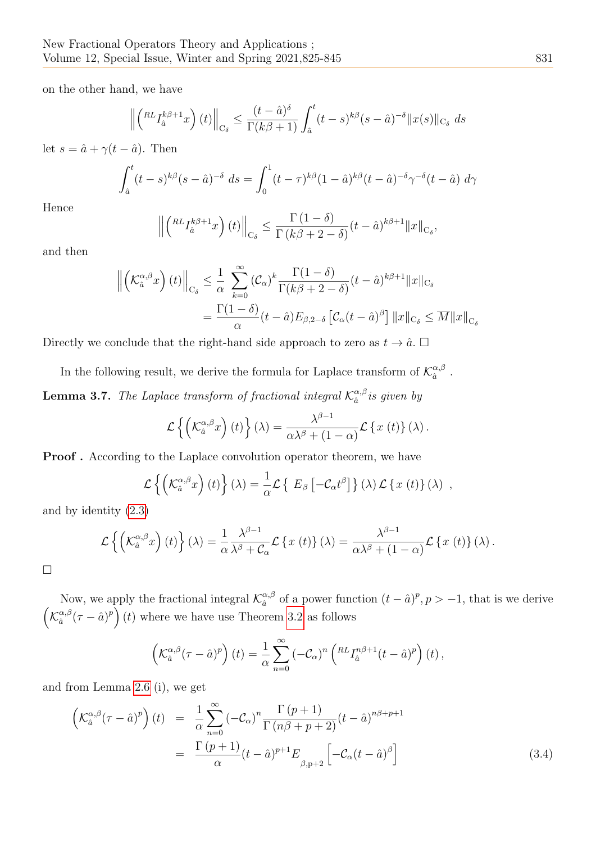on the other hand, we have

$$
\left\| \left( {}^{RL}I_{\hat{a}}^{k\beta+1}x \right)(t) \right\|_{\mathcal{C}_{\delta}} \leq \frac{(t-\hat{a})^{\delta}}{\Gamma(k\beta+1)} \int_{\hat{a}}^{t} (t-s)^{k\beta}(s-\hat{a})^{-\delta} ||x(s)||_{\mathcal{C}_{\delta}} ds
$$

let  $s = \hat{a} + \gamma(t - \hat{a})$ . Then

$$
\int_{\hat{a}}^{t} (t-s)^{k\beta}(s-\hat{a})^{-\delta} ds = \int_{0}^{1} (t-\tau)^{k\beta}(1-\hat{a})^{k\beta}(t-\hat{a})^{-\delta}\gamma^{-\delta}(t-\hat{a}) d\gamma
$$

Hence

$$
\left\| \left( \int_{\hat{a}}^{RL} I_{\hat{a}}^{k\beta+1} x \right) (t) \right\|_{\mathcal{C}_{\delta}} \leq \frac{\Gamma(1-\delta)}{\Gamma(k\beta+2-\delta)} (t-\hat{a})^{k\beta+1} \|x\|_{\mathcal{C}_{\delta}},
$$

and then

$$
\left\| \left( \mathcal{K}_{\hat{a}}^{\alpha,\beta} x \right) (t) \right\|_{\mathcal{C}_{\delta}} \leq \frac{1}{\alpha} \sum_{k=0}^{\infty} \left( \mathcal{C}_{\alpha} \right)^{k} \frac{\Gamma(1-\delta)}{\Gamma(k\beta+2-\delta)} (t-\hat{a})^{k\beta+1} \|x\|_{\mathcal{C}_{\delta}}
$$

$$
= \frac{\Gamma(1-\delta)}{\alpha} (t-\hat{a}) E_{\beta,2-\delta} \left[ \mathcal{C}_{\alpha} (t-\hat{a})^{\beta} \right] \|x\|_{\mathcal{C}_{\delta}} \leq \overline{M} \|x\|_{\mathcal{C}_{\delta}}
$$

Directly we conclude that the right-hand side approach to zero as  $t \to \hat{a}$ .  $\Box$ 

In the following result, we derive the formula for Laplace transform of  $\mathcal{K}_{\hat{a}}^{\alpha,\beta}$  $\frac{\alpha,\beta}{\hat{a}}$  .

<span id="page-6-1"></span>**Lemma 3.7.** The Laplace transform of fractional integral  $\mathcal{K}_{\hat{a}}^{\alpha,\beta}$  $a^{\alpha,\beta}$  is given by

$$
\mathcal{L}\left\{ \left( \mathcal{K}_{\hat{a}}^{\alpha,\beta}x\right)(t)\right\} (\lambda)=\frac{\lambda^{\beta-1}}{\alpha\lambda^{\beta}+(1-\alpha)}\mathcal{L}\left\{ x(t)\right\} (\lambda).
$$

Proof . According to the Laplace convolution operator theorem, we have

$$
\mathcal{L}\left\{ \left( \mathcal{K}_{\hat{a}}^{\alpha,\beta}x\right)(t)\right\} (\lambda)=\frac{1}{\alpha}\mathcal{L}\left\{ \ E_{\beta}\left[ -\mathcal{C}_{\alpha}t^{\beta}\right] \right\} (\lambda)\mathcal{L}\left\{ x\left(t\right)\right\} (\lambda),
$$

and by identity [\(2.3\)](#page-1-3)

$$
\mathcal{L}\left\{\left(\mathcal{K}_{\hat{a}}^{\alpha,\beta}x\right)(t)\right\}(\lambda) = \frac{1}{\alpha}\frac{\lambda^{\beta-1}}{\lambda^{\beta}+\mathcal{C}_{\alpha}}\mathcal{L}\left\{x(t)\right\}(\lambda) = \frac{\lambda^{\beta-1}}{\alpha\lambda^{\beta}+(1-\alpha)}\mathcal{L}\left\{x(t)\right\}(\lambda).
$$

 $\Box$ 

Now, we apply the fractional integral  $\mathcal{K}_{\hat{a}}^{\alpha,\beta}$  $\frac{\alpha}{\hat{a}}$  of a power function  $(t - \hat{a})^p$ ,  $p > -1$ , that is we derive  $\left( \mathcal{K}_{\hat{a}}^{\alpha,\beta}\right)$  $\left(\frac{\alpha,\beta}{\hat{a}}(\tau-\hat{a})^p\right)(t)$  where we have use Theorem [3.2](#page-3-1) as follows

$$
\left(\mathcal{K}_{\hat{a}}^{\alpha,\beta}(\tau-\hat{a})^p\right)(t) = \frac{1}{\alpha}\sum_{n=0}^{\infty} \left(-\mathcal{C}_{\alpha}\right)^n \left(\mathcal{R}^L I_{\hat{a}}^{n\beta+1}(t-\hat{a})^p\right)(t),
$$

and from Lemma [2.6](#page-2-2) (i), we get

<span id="page-6-0"></span>
$$
\begin{aligned}\n\left(\mathcal{K}_{\hat{a}}^{\alpha,\beta}(\tau-\hat{a})^{p}\right)(t) &= \frac{1}{\alpha} \sum_{n=0}^{\infty} \left(-\mathcal{C}_{\alpha}\right)^{n} \frac{\Gamma\left(p+1\right)}{\Gamma\left(n\beta+p+2\right)} (t-\hat{a})^{n\beta+p+1} \\
&= \frac{\Gamma\left(p+1\right)}{\alpha} (t-\hat{a})^{p+1} E_{\beta,p+2} \left[-\mathcal{C}_{\alpha} (t-\hat{a})^{\beta}\right]\n\end{aligned} \tag{3.4}
$$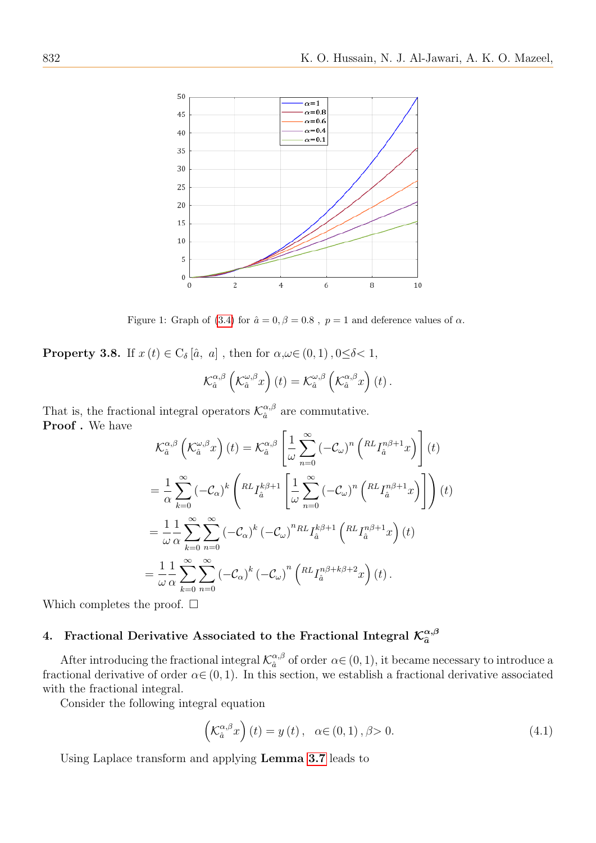

Figure 1: Graph of [\(3.4\)](#page-6-0) for  $\hat{a} = 0, \beta = 0.8$ ,  $p = 1$  and deference values of  $\alpha$ .

**Property 3.8.** If  $x(t) \in C_{\delta}[\hat{a}, a]$ , then for  $\alpha, \omega \in (0, 1), 0 \leq \delta < 1$ ,

$$
\mathcal{K}_{\hat{a}}^{\alpha,\beta}\left(\mathcal{K}_{\hat{a}}^{\omega,\beta}x\right)(t) = \mathcal{K}_{\hat{a}}^{\omega,\beta}\left(\mathcal{K}_{\hat{a}}^{\alpha,\beta}x\right)(t).
$$

That is, the fractional integral operators  $\mathcal{K}_{a}^{\alpha,\beta}$  $\frac{\alpha}{\hat{a}}$  are commutative. Proof. We have

$$
\mathcal{K}_{\hat{a}}^{\alpha,\beta} \left( \mathcal{K}_{\hat{a}}^{\omega,\beta} x \right) (t) = \mathcal{K}_{\hat{a}}^{\alpha,\beta} \left[ \frac{1}{\omega} \sum_{n=0}^{\infty} \left( -\mathcal{C}_{\omega} \right)^n \left( \begin{matrix} R L_{I_{\hat{a}}}^{n\beta+1} x \end{matrix} \right) \right] (t)
$$
  
\n
$$
= \frac{1}{\alpha} \sum_{k=0}^{\infty} \left( -\mathcal{C}_{\alpha} \right)^k \left( \begin{matrix} R L_{I_{\hat{a}}}^{k\beta+1} \end{matrix} \left[ \frac{1}{\omega} \sum_{n=0}^{\infty} \left( -\mathcal{C}_{\omega} \right)^n \left( \begin{matrix} R L_{I_{\hat{a}}}^{n\beta+1} x \end{matrix} \right) \right] \right) (t)
$$
  
\n
$$
= \frac{1}{\omega} \frac{1}{\alpha} \sum_{k=0}^{\infty} \sum_{n=0}^{\infty} \left( -\mathcal{C}_{\alpha} \right)^k \left( -\mathcal{C}_{\omega} \right)^n R L_{\hat{a}}^{k\beta+1} \left( \begin{matrix} R L_{I_{\hat{a}}}^{n\beta+1} x \end{matrix} \right) (t)
$$
  
\n
$$
= \frac{1}{\omega} \frac{1}{\alpha} \sum_{k=0}^{\infty} \sum_{n=0}^{\infty} \left( -\mathcal{C}_{\alpha} \right)^k \left( -\mathcal{C}_{\omega} \right)^n \left( \begin{matrix} R L_{I_{\hat{a}}}^{n\beta+k\beta+2} x \end{matrix} \right) (t).
$$

Which completes the proof.  $\square$ 

#### 4. Fractional Derivative Associated to the Fractional Integral  $\mathcal{K}_{\widehat{a}}^{\alpha,\beta}$  $\hat{a}$

After introducing the fractional integral  $\mathcal{K}_{\hat{a}}^{\alpha,\beta}$  $\alpha_i^{\alpha,\beta}$  of order  $\alpha \in (0,1)$ , it became necessary to introduce a fractional derivative of order  $\alpha \in (0, 1)$ . In this section, we establish a fractional derivative associated with the fractional integral.

Consider the following integral equation

$$
\left(\mathcal{K}_{\hat{a}}^{\alpha,\beta}x\right)(t) = y(t), \quad \alpha \in (0,1), \beta > 0.
$$
\n(4.1)

Using Laplace transform and applying Lemma [3.7](#page-6-1) leads to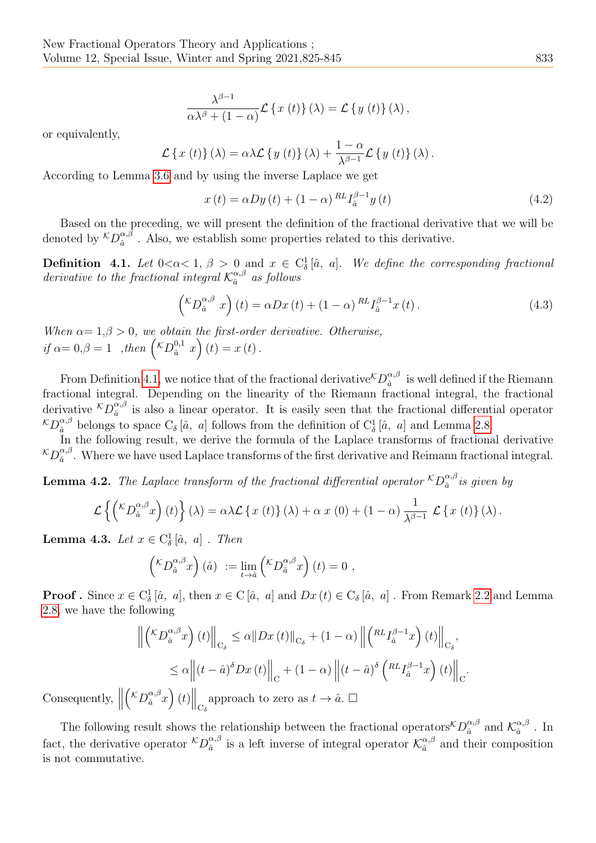$$
\frac{\lambda^{\beta-1}}{\alpha\lambda^{\beta}+(1-\alpha)}\mathcal{L}\left\{x(t)\right\}(\lambda)=\mathcal{L}\left\{y(t)\right\}(\lambda),
$$

or equivalently,

$$
\mathcal{L}\left\{x(t)\right\}(\lambda) = \alpha \lambda \mathcal{L}\left\{y(t)\right\}(\lambda) + \frac{1-\alpha}{\lambda^{\beta-1}} \mathcal{L}\left\{y(t)\right\}(\lambda).
$$

According to Lemma [3.6](#page-5-0) and by using the inverse Laplace we get

$$
x(t) = \alpha Dy(t) + (1 - \alpha)^{RL} I_{\hat{a}}^{\beta - 1} y(t)
$$
\n(4.2)

Based on the preceding, we will present the definition of the fractional derivative that we will be denoted by  ${}^{\mathcal{K}}D_{\hat{a}}^{\alpha,\beta}$  $\frac{\alpha_{,\rho}}{\hat{a}}$ . Also, we establish some properties related to this derivative.

<span id="page-8-0"></span>**Definition** 4.1. Let  $0 < \alpha < 1$ ,  $\beta > 0$  and  $x \in C^1_\delta[\hat{a}, a]$ . We define the corresponding fractional derivative to the fractional integral  $\mathcal{K}_{\hat{a}}^{\alpha,\beta}$  $a^{a,\beta}$  as follows

$$
\left(\n\begin{aligned}\n\left(\n\begin{matrix}\n\kappa \int_{\hat{a}}^{\alpha,\beta} x\n\end{matrix}\right)(t) &= \alpha Dx(t) + (1 - \alpha) \frac{R}{a} L_{\hat{a}}^{\beta - 1} x(t)\n\end{aligned}\n\right.\n\tag{4.3}
$$

When  $\alpha = 1, \beta > 0$ , we obtain the first-order derivative. Otherwise, if  $\alpha = 0, \beta = 1$ , then  $\left( {^K}D_a^{0,1} x \right)(t) = x(t)$ .

From Definition [4.1,](#page-8-0) we notice that of the fractional derivative  ${}^{\mathcal{K}}D_{\hat{a}}^{\alpha,\beta}$  $\frac{\alpha}{\hat{a}}$  is well defined if the Riemann fractional integral. Depending on the linearity of the Riemann fractional integral, the fractional derivative  ${}^{\mathcal{K}}D_{\hat{a}}^{\alpha,\beta}$  $\frac{\alpha}{\hat{a}}$  is also a linear operator. It is easily seen that the fractional differential operator  ${}^{\mathcal{K}}D_{\hat{a}}^{\alpha,\beta}$  belongs to space  $C_{\delta}[\hat{a}, a]$  follows from the definition of  $C_{\delta}^1[\hat{a}, a]$  and Lemma [2.8.](#page-2-3)

In the following result, we derive the formula of the Laplace transforms of fractional derivative  ${}^{\mathcal{K}}D_{\hat{a}}^{\alpha,\beta}$  $\frac{\alpha_{,\rho}}{\hat{a}}$ . Where we have used Laplace transforms of the first derivative and Reimann fractional integral.

**Lemma 4.2.** The Laplace transform of the fractional differential operator  ${}^{\mathcal{K}}D_{\hat{a}}^{\alpha,\beta}$  $a^{\alpha,\beta}$  is given by

$$
\mathcal{L}\left\{ \left( {}^{\mathcal{K}}D_{\hat{a}}^{\alpha,\beta}x\right)(t)\right\} (\lambda) = \alpha\lambda\mathcal{L}\left\{ x(t)\right\} (\lambda) + \alpha\ x(0) + (1-\alpha)\frac{1}{\lambda^{\beta-1}}\ \mathcal{L}\left\{ x(t)\right\} (\lambda).
$$

**Lemma 4.3.** Let  $x \in C^1_\delta[\hat{a}, a]$ . Then

$$
\left(\nabla D_{\hat{a}}^{\alpha,\beta}x\right)(\hat{a}) := \lim_{t \to \hat{a}} \left(\nabla D_{\hat{a}}^{\alpha,\beta}x\right)(t) = 0,
$$

**Proof**. Since  $x \in C^1_\delta[\hat{a}, a]$ , then  $x \in C[\hat{a}, a]$  and  $Dx(t) \in C_\delta[\hat{a}, a]$ . From Remark [2.2](#page-2-4) and Lemma [2.8,](#page-2-3) we have the following

$$
\left\| \left( {}^{\mathcal{K}}D_{\hat{a}}^{\alpha,\beta}x \right)(t) \right\|_{C_{\delta}} \leq \alpha \|Dx(t)\|_{C_{\delta}} + (1-\alpha) \left\| \left( {}^{RL}I_{\hat{a}}^{\beta-1}x \right)(t) \right\|_{C_{\delta}},
$$
  

$$
\leq \alpha \left\| (t-\hat{a})^{\delta}Dx(t) \right\|_{C} + (1-\alpha) \left\| (t-\hat{a})^{\delta} \left( {}^{RL}I_{\hat{a}}^{\beta-1}x \right)(t) \right\|_{C}.
$$

Consequently,  $\parallel$  $\left.\left(\mathcal{K}D^{\alpha,\beta}_{\hat{a}}x\right)(t)\right\|_{\mathcal{C}_{\delta}}$ approach to zero as  $t \to \hat{a}$ .  $\Box$ 

<span id="page-8-1"></span>The following result shows the relationship between the fractional operators  ${}^{\mathcal{K}}D_{\hat{a}}^{\alpha,\beta}$  $\frac{\alpha}{\hat{a}}^{\alpha,\beta}$  and  $\mathcal{K}_{\hat{a}}^{\alpha,\beta}$  $\hat{a}^{\alpha,\beta}$  . In fact, the derivative operator  ${}^{\mathcal{K}}D_{\hat{a}}^{\alpha,\beta}$  $\frac{\alpha,\beta}{\hat{a}}$  is a left inverse of integral operator  $\mathcal{K}_{\hat{a}}^{\alpha,\beta}$  $\hat{a}^{\alpha,\beta}_{\hat{a}}$  and their composition is not commutative.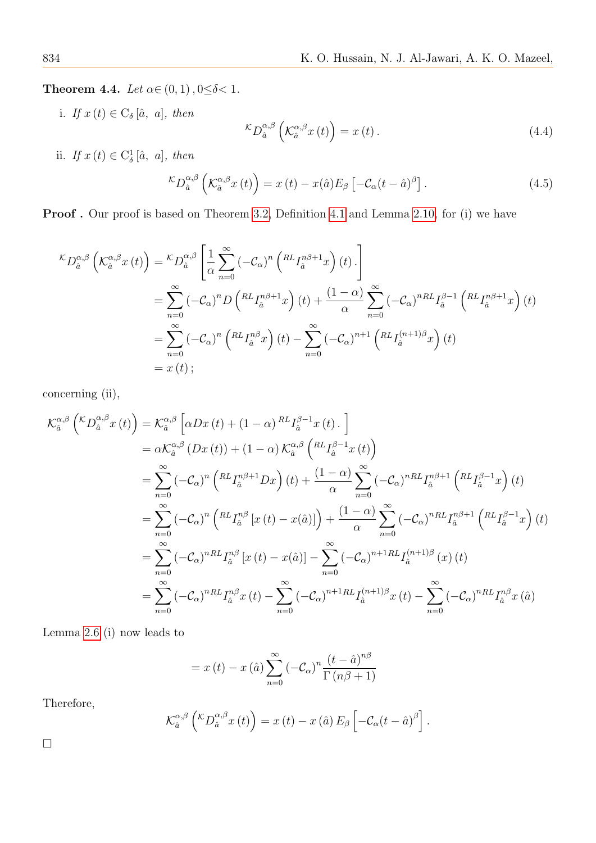**Theorem 4.4.** Let  $\alpha \in (0, 1)$ ,  $0 \le \delta < 1$ .

i. If  $x(t) \in C_{\delta}[\hat{a}, a]$ , then

$$
\kappa D_{\hat{a}}^{\alpha,\beta} \left( \mathcal{K}_{\hat{a}}^{\alpha,\beta} x \left( t \right) \right) = x \left( t \right). \tag{4.4}
$$

ii. If  $x(t) \in C^1_\delta[\hat{a}, a]$ , then

$$
\kappa D_{\hat{a}}^{\alpha,\beta} \left( \mathcal{K}_{\hat{a}}^{\alpha,\beta} x(t) \right) = x(t) - x(\hat{a}) E_{\beta} \left[ -\mathcal{C}_{\alpha} (t - \hat{a})^{\beta} \right]. \tag{4.5}
$$

Proof. Our proof is based on Theorem [3.2,](#page-3-1) Definition [4.1](#page-8-0) and Lemma [2.10,](#page-2-5) for (i) we have

$$
\begin{split} {}^{\mathcal{K}}D_{\hat{a}}^{\alpha,\beta}\left(\mathcal{K}_{\hat{a}}^{\alpha,\beta}x\left(t\right)\right)&=\displaystyle\frac{{}^{\mathcal{K}}D_{\hat{a}}^{\alpha,\beta}\left[\frac{1}{\alpha}\sum_{n=0}^{\infty}\left(-\mathcal{C}_{\alpha}\right)^{n}\left(\mathcal{R}L_{I_{\hat{a}}^{n}}^{\alpha\beta+1}x\right)\left(t\right)\right]}{\sum_{n=0}^{\infty}\left(-\mathcal{C}_{\alpha}\right)^{n}D\left(\mathcal{R}L_{I_{\hat{a}}^{n}}^{\alpha\beta+1}x\right)\left(t\right)+\frac{\left(1-\alpha\right)}{\alpha}\sum_{n=0}^{\infty}\left(-\mathcal{C}_{\alpha}\right)^{n}R_{I_{\hat{a}}^{n}}^{\beta-1}\left(\mathcal{R}L_{I_{\hat{a}}^{n}}^{\alpha\beta+1}x\right)\left(t\right)}\\ &=\sum_{n=0}^{\infty}\left(-\mathcal{C}_{\alpha}\right)^{n}\left(\mathcal{R}L_{I_{\hat{a}}^{n}}^{\alpha\beta}x\right)\left(t\right)-\sum_{n=0}^{\infty}\left(-\mathcal{C}_{\alpha}\right)^{n+1}\left(\mathcal{R}L_{I_{\hat{a}}^{n}}^{\left(n+1\right)\beta}x\right)\left(t\right)\\ &=x\left(t\right); \end{split}
$$

concerning (ii),

$$
\mathcal{K}_{\hat{a}}^{\alpha,\beta}\left({}^{\mathcal{K}}D_{\hat{a}}^{\alpha,\beta}x\left(t\right)\right) = \mathcal{K}_{\hat{a}}^{\alpha,\beta}\left[\alpha Dx\left(t\right) + \left(1-\alpha\right)^{RL}I_{\hat{a}}^{\beta-1}x\left(t\right)\right] \n= \alpha \mathcal{K}_{\hat{a}}^{\alpha,\beta}\left(Dx\left(t\right) + \left(1-\alpha\right)\mathcal{K}_{\hat{a}}^{\alpha,\beta}\left({}^{RL}I_{\hat{a}}^{\beta-1}x\left(t\right)\right) \n= \sum_{n=0}^{\infty}\left(-\mathcal{C}_{\alpha}\right)^{n}\left({}^{RL}I_{\hat{a}}^{n\beta+1}Dx\right)\left(t\right) + \frac{\left(1-\alpha\right)}{\alpha}\sum_{n=0}^{\infty}\left(-\mathcal{C}_{\alpha}\right)^{nRL}I_{\hat{a}}^{n\beta+1}\left({}^{RL}I_{\hat{a}}^{\beta-1}x\right)\left(t\right) \n= \sum_{n=0}^{\infty}\left(-\mathcal{C}_{\alpha}\right)^{n}\left({}^{RL}I_{\hat{a}}^{n\beta}\left[x\left(t\right) - x\left(\hat{a}\right)\right]\right) + \frac{\left(1-\alpha\right)}{\alpha}\sum_{n=0}^{\infty}\left(-\mathcal{C}_{\alpha}\right)^{nRL}I_{\hat{a}}^{n\beta+1}\left({}^{RL}I_{\hat{a}}^{\beta-1}x\right)\left(t\right) \n= \sum_{n=0}^{\infty}\left(-\mathcal{C}_{\alpha}\right)^{nRL}I_{\hat{a}}^{n\beta}\left[x\left(t\right) - x\left(\hat{a}\right)\right] - \sum_{n=0}^{\infty}\left(-\mathcal{C}_{\alpha}\right)^{n+1RL}I_{\hat{a}}^{(n+1)\beta}\left(x\right)\left(t\right) \n= \sum_{n=0}^{\infty}\left(-\mathcal{C}_{\alpha}\right)^{nRL}I_{\hat{a}}^{n\beta}x\left(t\right) - \sum_{n=0}^{\infty}\left(-\mathcal{C}_{\alpha}\right)^{n+1RL}I_{\hat{a}}^{(n+1)\beta}x\left(t\right) - \sum_{n=0}^{\infty}\left(-\mathcal{C}_{\alpha
$$

Lemma [2.6](#page-2-2) (i) now leads to

$$
= x(t) - x(\hat{a}) \sum_{n=0}^{\infty} (-C_{\alpha})^{n} \frac{(t - \hat{a})^{n\beta}}{\Gamma(n\beta + 1)}
$$

Therefore,

$$
\mathcal{K}_{\hat{a}}^{\alpha,\beta}\left({\kappa}D_{\hat{a}}^{\alpha,\beta}x(t)\right)=x(t)-x(\hat{a})E_{\beta}\left[-\mathcal{C}_{\alpha}(t-\hat{a})^{\beta}\right].
$$

 $\Box$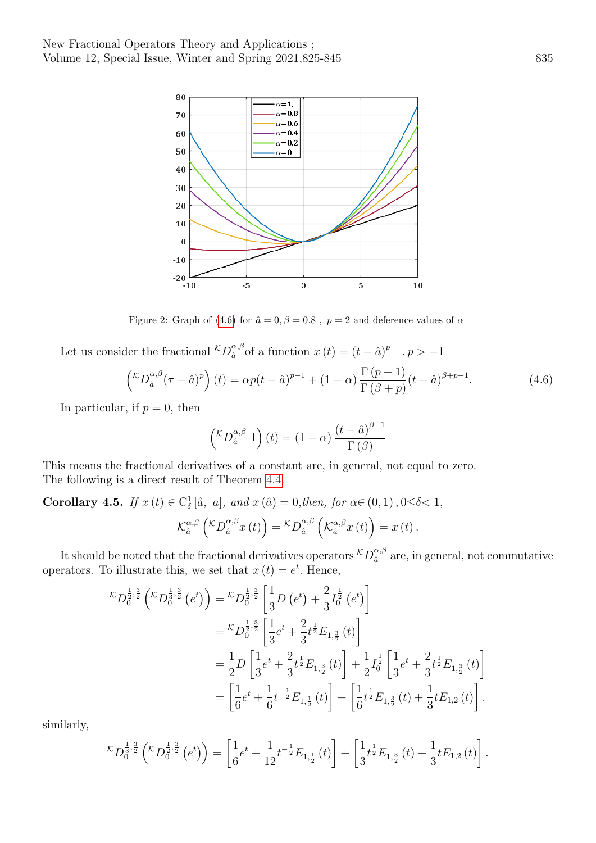

Figure 2: Graph of [\(4.6\)](#page-10-0) for  $\hat{a} = 0, \beta = 0.8$ ,  $p = 2$  and deference values of  $\alpha$ 

Let us consider the fractional  ${}^{\mathcal{K}}D_{\hat{a}}^{\alpha,\beta}$  $_{\hat{a}}^{\alpha,\beta}$  of a function  $x(t) = (t - \hat{a})^p$ ,  $p > -1$ 

<span id="page-10-0"></span>
$$
\left(\n\begin{aligned}\n\left(\n\begin{matrix}\n\kappa \cdot \frac{\partial}{\partial \theta} \\
\frac{\partial}{\partial \theta}\n\end{matrix}\n\right)\n\left(t\right) &= \alpha p(t - \hat{a})^{p-1} + (1 - \alpha) \frac{\Gamma(p+1)}{\Gamma(\beta + p)} (t - \hat{a})^{\beta + p - 1}.\n\end{aligned}\n\right.\n\tag{4.6}
$$

In particular, if  $p = 0$ , then

$$
\left({\binom{\kappa}}{2} \alpha^{\alpha,\beta} \ 1\right)(t) = (1-\alpha) \frac{\left(t - \hat{a}\right)^{\beta-1}}{\Gamma\left(\beta\right)}
$$

This means the fractional derivatives of a constant are, in general, not equal to zero. The following is a direct result of Theorem [4.4.](#page-8-1)

Corollary 4.5. If  $x(t) \in C^1_\delta[\hat{a}, a]$ , and  $x(\hat{a}) = 0$ , then, for  $\alpha \in (0, 1)$ ,  $0 \le \delta < 1$ ,  $\mathcal{K}_{\hat{a}}^{\alpha,\beta}$  $\int_{\hat{a}}^{\alpha,\beta} \left( {}^{\mathcal{K}}D^{\alpha,\beta}_{\hat{a}}x\left(t\right) \right)={}^{\mathcal{K}}D^{\alpha,\beta}_{\hat{a}}$  $_{\hat{a}}^{\alpha,\beta}\left( \mathcal{K}_{\hat{a}}^{\alpha,\beta}\right)$  $\int_{\hat{a}}^{\alpha,\beta}x(t)\Big)=x(t).$ 

It should be noted that the fractional derivatives operators  ${}^{\mathcal{K}}D^{\alpha,\beta}_{\hat{a}}$  $\frac{\alpha}{\hat{a}}$  are, in general, not commutative operators. To illustrate this, we set that  $x(t) = e^t$ . Hence,

$$
\begin{split} \n\kappa_{D_0^{\frac{1}{2},\frac{3}{2}}} \left( \kappa_{D_0^{\frac{1}{3},\frac{3}{2}}} \left( e^t \right) \right) &= \kappa_{D_0^{\frac{1}{2},\frac{3}{2}}} \left[ \frac{1}{3} D \left( e^t \right) + \frac{2}{3} I_0^{\frac{1}{2}} \left( e^t \right) \right] \\ \n&= \kappa_{D_0^{\frac{1}{2},\frac{3}{2}}} \left[ \frac{1}{3} e^t + \frac{2}{3} t^{\frac{1}{2}} E_{1,\frac{3}{2}} \left( t \right) \right] \\ \n&= \frac{1}{2} D \left[ \frac{1}{3} e^t + \frac{2}{3} t^{\frac{1}{2}} E_{1,\frac{3}{2}} \left( t \right) \right] + \frac{1}{2} I_0^{\frac{1}{2}} \left[ \frac{1}{3} e^t + \frac{2}{3} t^{\frac{1}{2}} E_{1,\frac{3}{2}} \left( t \right) \right] \\ \n&= \left[ \frac{1}{6} e^t + \frac{1}{6} t^{-\frac{1}{2}} E_{1,\frac{1}{2}} \left( t \right) \right] + \left[ \frac{1}{6} t^{\frac{1}{2}} E_{1,\frac{3}{2}} \left( t \right) + \frac{1}{3} t E_{1,2} \left( t \right) \right]. \n\end{split}
$$

similarly,

$$
\kappa D_0^{\frac{1}{3},\frac{3}{2}}\left(\kappa D_0^{\frac{1}{2},\frac{3}{2}}\left(e^t\right)\right) = \left[\frac{1}{6}e^t + \frac{1}{12}t^{-\frac{1}{2}}E_{1,\frac{1}{2}}\left(t\right)\right] + \left[\frac{1}{3}t^{\frac{1}{2}}E_{1,\frac{3}{2}}\left(t\right) + \frac{1}{3}tE_{1,2}\left(t\right)\right].
$$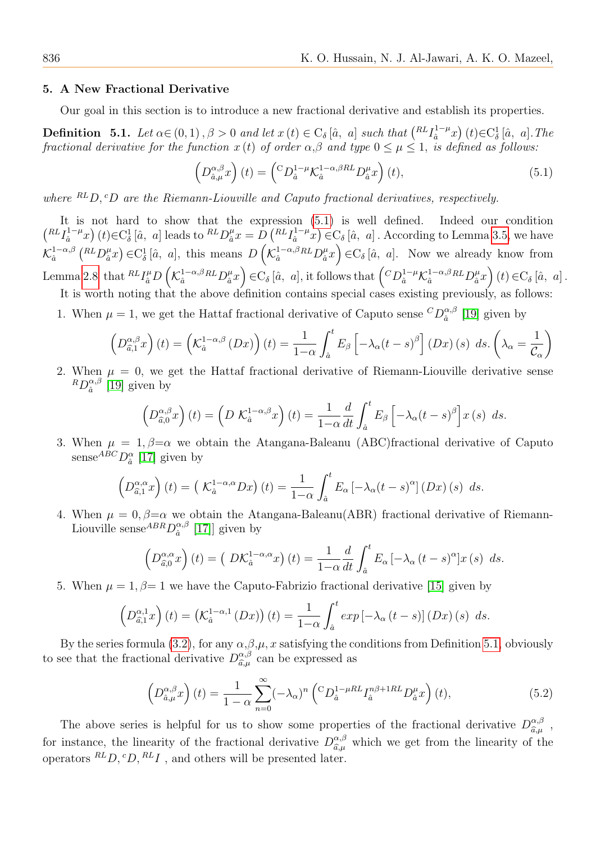#### 5. A New Fractional Derivative

Our goal in this section is to introduce a new fractional derivative and establish its properties.

<span id="page-11-1"></span>**Definition** 5.1. Let  $\alpha \in (0, 1)$ ,  $\beta > 0$  and let  $x(t) \in C_{\delta}[\hat{a}, a]$  such that  $\binom{RL}{\hat{a}}^{-\mu}$  $\left(\begin{matrix}1-\mu\\ \hat{a}\end{matrix}\right)(t) \in C^1_\delta [\hat{a}, a]$ . The fractional derivative for the function  $x(t)$  of order  $\alpha,\beta$  and type  $0 \leq \mu \leq 1$ , is defined as follows:

<span id="page-11-0"></span>
$$
\left(D_{\hat{a},\mu}^{\alpha,\beta}x\right)(t) = \left(\begin{matrix} C D_{\hat{a}}^{1-\mu} \mathcal{K}_{\hat{a}}^{1-\alpha,\beta RL} D_{\hat{a}}^{\mu}x \end{matrix}\right)(t),\tag{5.1}
$$

where  ${}^{RL}D$ ,  ${}^{c}D$  are the Riemann-Liouville and Caputo fractional derivatives, respectively.

It is not hard to show that the expression [\(5.1\)](#page-11-0) is well defined. Indeed our condition  $\binom{RLI_{\hat{a}}^{1-\mu}}{}$  $\left(\frac{1-\mu}{\hat{a}}x\right)(t) \in \mathcal{C}_{\delta}^1[\hat{a}, a]$  leads to  ${}^{RL}D_{\hat{a}}^{\mu}$  $a^{\mu}_{\hat{a}}x = D\left(^{RL}I_{\hat{a}}^{1-\mu}\right)$  $\left(\frac{1-\mu}{\hat{a}}x\right) \in C_{\delta}[\hat{a}, a]$ . According to Lemma [3.5,](#page-4-0) we have  $\mathcal{K}^{1-\alpha,\beta}_{\hat{\alpha}}$  $_{\hat{a}}^{1-\alpha,\beta}\left( \ ^{RL}D_{\hat{a}}^{\mu}\right)$  $\chi^{\mu}_{\hat{a}}(x) \in C^1_{\delta}[\hat{a}, a],$  this means  $D\left(\mathcal{K}^{1-\alpha,\beta}_{\hat{a}}\right)$  $\frac{1-\alpha}{\hat{a}}\hbar L D^{\mu}_{\hat{a}}$  $\left(\begin{array}{cc} \mu & \mu \\ \hat{a} & \hat{a} \end{array}\right) \in \mathcal{C}_{\delta}[\hat{a}, a].$  Now we already know from Lemma [2.8](#page-2-3) that  $^{RL}I_{\hat{a}}^{\mu}D\left( \mathcal{K}_{\hat{a}}^{1-\alpha,\beta}\right)$  $_{\hat{a}}^{1-\alpha,\beta RL}D_{\hat{a}}^{\mu}$  $\binom{\mu}{\hat{a}}x\in C_{\delta}[\hat{a}, a],$  it follows that  $\left({}^C D^{1-\mu}_{\hat{a}} \mathcal{K}^{1-\alpha,\beta}_{\hat{a}}\right)$  $\frac{1-\alpha}{\hat{a}}\hbar L D^{\mu}_{\hat{a}}$  $\int_{\hat{a}}^{\mu}x\right) (t)\in C_{\delta} [\hat{a}, a].$ It is worth noting that the above definition contains special cases existing previously, as follows:

1. When  $\mu = 1$ , we get the Hattaf fractional derivative of Caputo sense  ${}^{C}D_{\hat{a}}^{\alpha,\beta}$  $\int_{\hat{a}}^{\alpha,\beta}$  [\[19\]](#page-20-18) given by

$$
\left(D_{\hat{a},1}^{\alpha,\beta}x\right)(t) = \left(\mathcal{K}_{\hat{a}}^{1-\alpha,\beta}(Dx)\right)(t) = \frac{1}{1-\alpha}\int_{\hat{a}}^{t}E_{\beta}\left[-\lambda_{\alpha}(t-s)^{\beta}\right](Dx)(s) ds. \left(\lambda_{\alpha} = \frac{1}{\mathcal{C}_{\alpha}}\right)
$$

2. When  $\mu = 0$ , we get the Hattaf fractional derivative of Riemann-Liouville derivative sense  ${}^R D_{{\hat{a}}}^{\alpha,\beta}$  $\frac{\alpha}{\hat{a}}$  [\[19\]](#page-20-18) given by

$$
\left(D_{\hat{a},0}^{\alpha,\beta}x\right)(t) = \left(D \mathcal{K}_a^{1-\alpha,\beta}x\right)(t) = \frac{1}{1-\alpha} \frac{d}{dt} \int_a^t E_\beta \left[-\lambda_\alpha (t-s)^\beta\right] x(s) \ ds.
$$

3. When  $\mu = 1, \beta = \alpha$  we obtain the Atangana-Baleanu (ABC)fractional derivative of Caputo sense ${}^{ABC}D_{\hat{a}}^{\alpha}$  [\[17\]](#page-20-16) given by

$$
\left(D_{\hat{a},1}^{\alpha,\alpha}x\right)(t) = \left(\mathcal{K}_{\hat{a}}^{1-\alpha,\alpha}Dx\right)(t) = \frac{1}{1-\alpha}\int_{\hat{a}}^{t} E_{\alpha}\left[-\lambda_{\alpha}(t-s)^{\alpha}\right](Dx)(s) ds.
$$

4. When  $\mu = 0, \beta = \alpha$  we obtain the Atangana-Baleanu(ABR) fractional derivative of Riemann-Liouville sense<sup> $ABR D^{\alpha,\beta}_{\hat{a}}$ </sup>  $\binom{\alpha,\beta}{\hat{a}}$  [\[17\]](#page-20-16)] given by

$$
\left(D_{\hat{a},0}^{\alpha,\alpha}x\right)(t) = \left(D\mathcal{K}_a^{1-\alpha,\alpha}x\right)(t) = \frac{1}{1-\alpha}\frac{d}{dt}\int_{\hat{a}}^t E_\alpha\left[-\lambda_\alpha\left(t-s\right)^\alpha\right]x(s)\ ds.
$$

5. When  $\mu = 1, \beta = 1$  we have the Caputo-Fabrizio fractional derivative [\[15\]](#page-20-14) given by

$$
\left(D_{\hat{a},1}^{\alpha,1}x\right)(t) = \left(\mathcal{K}_{\hat{a}}^{1-\alpha,1}\left(Dx\right)\right)(t) = \frac{1}{1-\alpha}\int_{\hat{a}}^{t} \exp\left[-\lambda_{\alpha}\left(t-s\right)\right]\left(Dx\right)(s) ds.
$$

By the series formula [\(3.2\)](#page-4-1), for any  $\alpha, \beta, \mu, x$  satisfying the conditions from Definition [5.1,](#page-11-1) obviously to see that the fractional derivative  $D_{\hat{\sigma}}^{\alpha,\beta}$  $\hat{a},\mu}^{\alpha,\beta}$  can be expressed as

<span id="page-11-2"></span>
$$
\left(D_{\hat{a},\mu}^{\alpha,\beta}x\right)(t) = \frac{1}{1-\alpha} \sum_{n=0}^{\infty} (-\lambda_{\alpha})^n \left(\,{}^{C}D_{\hat{a}}^{1-\mu RL}I_{\hat{a}}^{n\beta+1RL}D_{\hat{a}}^{\mu}x\right)(t),\tag{5.2}
$$

The above series is helpful for us to show some properties of the fractional derivative  $D_{\hat{\sigma}}^{\alpha,\beta}$ ,  $\widehat{a}, \mu$ for instance, the linearity of the fractional derivative  $D_{\hat{a},\mu}^{\alpha,\beta}$  which we get from the linearity of the operators  ${}^{RL}D, {}^{c}D, {}^{RL}I$ , and others will be presented later.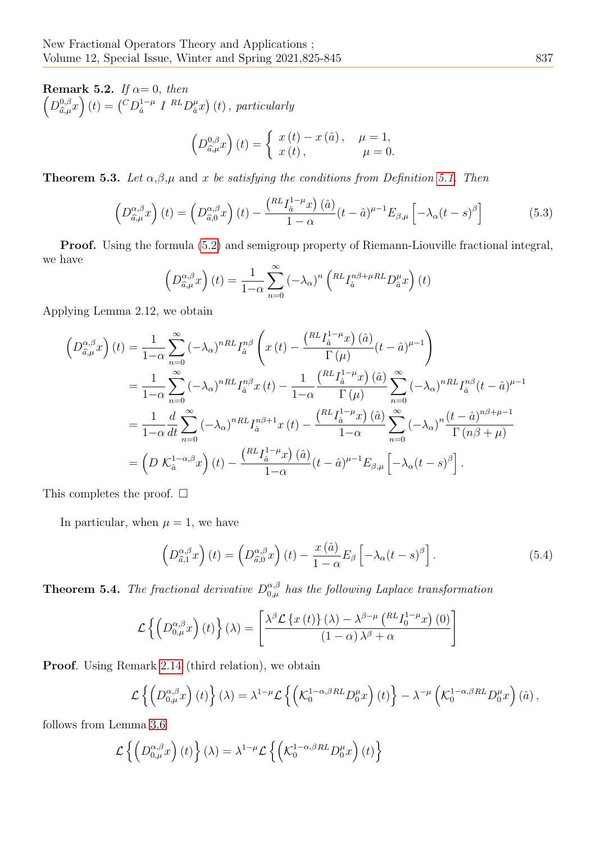Remark 5.2. If  $\alpha = 0$ , then  $\left(D_{\widehat{\alpha},\mu}^{0,\beta}\right)$  $_{\widehat{a},\mu}^{0,\beta}x\Big)(t) = {C D<sub>\widehat{a}}^{1-\mu}</sub>$  $_{\hat{a}}^{1-\mu}$  I  $_{\Omega}^{RL}D_{\hat{a}}^{\mu}$  $_{\hat{a}}^{\mu}x\big)\left( t\right) ,\;$  particularly

$$
\left(D_{\hat{a},\mu}^{0,\beta}x\right)(t) = \begin{cases} x(t) - x(\hat{a}), & \mu = 1, \\ x(t), & \mu = 0. \end{cases}
$$

<span id="page-12-0"></span>**Theorem 5.3.** Let  $\alpha, \beta, \mu$  and x be satisfying the conditions from Definition [5.1.](#page-11-1) Then

$$
\left(D_{\hat{a},\mu}^{\alpha,\beta}x\right)(t) = \left(D_{\hat{a},0}^{\alpha,\beta}x\right)(t) - \frac{\left(RL_{\hat{a}}^{1-\mu}x\right)(\hat{a})}{1-\alpha}(t-\hat{a})^{\mu-1}E_{\beta,\mu}\left[-\lambda_{\alpha}(t-s)^{\beta}\right]
$$
(5.3)

Proof. Using the formula [\(5.2\)](#page-11-2) and semigroup property of Riemann-Liouville fractional integral, we have

$$
\left(D_{\hat{a},\mu}^{\alpha,\beta}x\right)(t) = \frac{1}{1-\alpha}\sum_{n=0}^{\infty} \left(-\lambda_{\alpha}\right)^n \left(\binom{RL}{{I_{\hat{a}}^{n\beta+\mu}RL}}{D_{\hat{a}}^{\mu}x}\right)(t)
$$

Applying Lemma 2.12, we obtain

$$
\left(D_{\hat{a},\mu}^{\alpha,\beta}x\right)(t) = \frac{1}{1-\alpha} \sum_{n=0}^{\infty} \left(-\lambda_{\alpha}\right)^{nRL} I_{\hat{a}}^{n\beta} \left(x\left(t\right) - \frac{\left(RL_{\hat{I}_{\hat{a}}}^{1-\mu}x\right)(\hat{a})}{\Gamma\left(\mu\right)} (t-\hat{a})^{\mu-1}\right)
$$
\n
$$
= \frac{1}{1-\alpha} \sum_{n=0}^{\infty} \left(-\lambda_{\alpha}\right)^{nRL} I_{\hat{a}}^{n\beta}x\left(t\right) - \frac{1}{1-\alpha} \frac{\left(RL_{\hat{I}_{\hat{a}}}^{1-\mu}x\right)(\hat{a})}{\Gamma\left(\mu\right)} \sum_{n=0}^{\infty} \left(-\lambda_{\alpha}\right)^{nRL} I_{\hat{a}}^{n\beta}(t-\hat{a})^{\mu-1}
$$
\n
$$
= \frac{1}{1-\alpha} \frac{d}{dt} \sum_{n=0}^{\infty} \left(-\lambda_{\alpha}\right)^{nRL} I_{\hat{a}}^{n\beta+1}x\left(t\right) - \frac{\left(RL_{\hat{I}_{\hat{a}}}^{1-\mu}x\right)(\hat{a})}{1-\alpha} \sum_{n=0}^{\infty} \left(-\lambda_{\alpha}\right)^{n} \frac{(t-\hat{a})^{n\beta+\mu-1}}{\Gamma\left(n\beta+\mu\right)}
$$
\n
$$
= \left(D \mathcal{K}_{\hat{a}}^{1-\alpha,\beta}x\right)(t) - \frac{\left(RL_{\hat{I}_{\hat{a}}}^{1-\mu}x\right)(\hat{a})}{1-\alpha}(t-\hat{a})^{\mu-1} E_{\beta,\mu} \left[-\lambda_{\alpha}(t-s)^{\beta}\right].
$$

This completes the proof.  $\square$ 

In particular, when  $\mu = 1$ , we have

$$
\left(D_{\hat{a},1}^{\alpha,\beta}x\right)(t) = \left(D_{\hat{a},0}^{\alpha,\beta}x\right)(t) - \frac{x(\hat{a})}{1-\alpha}E_{\beta}\left[-\lambda_{\alpha}(t-s)^{\beta}\right].
$$
\n(5.4)

**Theorem 5.4.** The fractional derivative  $D_{0,\mu}^{\alpha,\beta}$  has the following Laplace transformation

$$
\mathcal{L}\left\{ \left( D_{0,\mu}^{\alpha,\beta} x \right) (t) \right\} (\lambda) = \left[ \frac{\lambda^{\beta} \mathcal{L}\left\{ x \left( t \right) \right\} (\lambda) - \lambda^{\beta-\mu} \left( R L I_0^{1-\mu} x \right) (0)}{\left( 1 - \alpha \right) \lambda^{\beta} + \alpha} \right]
$$

Proof. Using Remark [2.14](#page-3-2) (third relation), we obtain

$$
\mathcal{L}\left\{ \left(D_{0,\mu}^{\alpha,\beta}x\right)(t)\right\} (\lambda) = \lambda^{1-\mu} \mathcal{L}\left\{ \left(\mathcal{K}_0^{1-\alpha,\beta RL}D_0^{\mu}x\right)(t)\right\} - \lambda^{-\mu} \left(\mathcal{K}_0^{1-\alpha,\beta RL}D_0^{\mu}x\right)(\hat{a}),
$$

follows from Lemma [3.6](#page-5-0)

$$
\mathcal{L}\left\{ \left(D_{0,\mu}^{\alpha,\beta}x\right)(t)\right\} (\lambda) = \lambda^{1-\mu} \mathcal{L}\left\{ \left(\mathcal{K}_0^{1-\alpha,\beta RL}D_0^{\mu}x\right)(t)\right\}
$$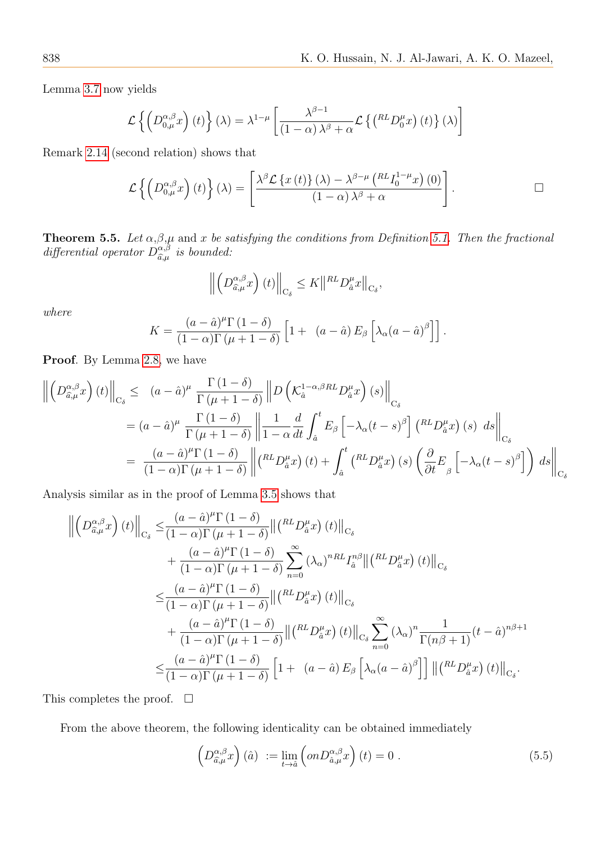Lemma [3.7](#page-6-1) now yields

$$
\mathcal{L}\left\{ \left(D_{0,\mu}^{\alpha,\beta}x\right)(t)\right\} (\lambda) = \lambda^{1-\mu} \left[\frac{\lambda^{\beta-1}}{(1-\alpha)\lambda^{\beta}+\alpha} \mathcal{L}\left\{ \left(^{RL}D_{0}^{\mu}x\right)(t)\right\} (\lambda)\right]
$$

Remark [2.14](#page-3-2) (second relation) shows that

$$
\mathcal{L}\left\{ \left( D_{0,\mu}^{\alpha,\beta}x \right)(t) \right\}(\lambda) = \left[ \frac{\lambda^{\beta}\mathcal{L}\left\{ x\left(t\right)\right\}(\lambda) - \lambda^{\beta-\mu}\left( R_{-}I_{0}^{1-\mu}x\right)(0)}{\left( 1-\alpha\right) \lambda^{\beta} + \alpha} \right].
$$

<span id="page-13-0"></span>**Theorem 5.5.** Let  $\alpha, \beta, \mu$  and x be satisfying the conditions from Definition [5.1.](#page-11-1) Then the fractional differential operator  $D_{\hat{\sigma} \mu}^{\alpha,\beta}$  $\hat{a},\hat{\mu}$  is bounded:

$$
\left\| \left( D_{\hat{a},\mu}^{\alpha,\beta} x \right)(t) \right\|_{\mathcal{C}_{\delta}} \leq K \left\| \mathcal{R}^L D_{\hat{a}}^{\mu} x \right\|_{\mathcal{C}_{\delta}},
$$

where

$$
K = \frac{(a - \hat{a})^{\mu} \Gamma(1 - \delta)}{(1 - \alpha) \Gamma(\mu + 1 - \delta)} \left[ 1 + (a - \hat{a}) E_{\beta} \left[ \lambda_{\alpha} (a - \hat{a})^{\beta} \right] \right].
$$

Proof. By Lemma [2.8,](#page-2-3) we have

$$
\left\| \left( D_{\hat{a},\mu}^{\alpha,\beta} x \right) (t) \right\|_{C_{\delta}} \le (a - \hat{a})^{\mu} \frac{\Gamma(1-\delta)}{\Gamma(\mu+1-\delta)} \left\| D \left( \mathcal{K}_{\hat{a}}^{1-\alpha,\beta RL} D_{\hat{a}}^{\mu} x \right) (s) \right\|_{C_{\delta}}
$$
  
\n
$$
= (a - \hat{a})^{\mu} \frac{\Gamma(1-\delta)}{\Gamma(\mu+1-\delta)} \left\| \frac{1}{1-\alpha} \frac{d}{dt} \int_{\hat{a}}^{t} E_{\beta} \left[ -\lambda_{\alpha} (t-s)^{\beta} \right] \left( \frac{RL} D_{\hat{a}}^{\mu} x \right) (s) ds \right\|_{C_{\delta}}
$$
  
\n
$$
= \frac{(a - \hat{a})^{\mu} \Gamma(1-\delta)}{(1-\alpha) \Gamma(\mu+1-\delta)} \left\| \left( \frac{RL} D_{\hat{a}}^{\mu} x \right) (t) + \int_{\hat{a}}^{t} \left( \frac{RL} D_{\hat{a}}^{\mu} x \right) (s) \left( \frac{\partial}{\partial t} E_{\beta} \left[ -\lambda_{\alpha} (t-s)^{\beta} \right] \right) ds \right\|_{C_{\delta}}
$$

Analysis similar as in the proof of Lemma [3.5](#page-4-0) shows that

$$
\left\| \left( D_{\hat{a},\mu}^{\alpha,\beta} x \right) (t) \right\|_{C_{\delta}} \leq \frac{(a - \hat{a})^{\mu} \Gamma (1 - \delta)}{(1 - \alpha) \Gamma (\mu + 1 - \delta)} \left\| \left( {}^{RL}D_{\hat{a}}^{\mu} x \right) (t) \right\|_{C_{\delta}} \n+ \frac{(a - \hat{a})^{\mu} \Gamma (1 - \delta)}{(1 - \alpha) \Gamma (\mu + 1 - \delta)} \sum_{n=0}^{\infty} \left( \lambda_{\alpha} \right)^{nRL} I_{\hat{a}}^{n\beta} \left\| \left( {}^{RL}D_{\hat{a}}^{\mu} x \right) (t) \right\|_{C_{\delta}} \n\leq \frac{(a - \hat{a})^{\mu} \Gamma (1 - \delta)}{(1 - \alpha) \Gamma (\mu + 1 - \delta)} \left\| \left( {}^{RL}D_{\hat{a}}^{\mu} x \right) (t) \right\|_{C_{\delta}} \n+ \frac{(a - \hat{a})^{\mu} \Gamma (1 - \delta)}{(1 - \alpha) \Gamma (\mu + 1 - \delta)} \left\| \left( {}^{RL}D_{\hat{a}}^{\mu} x \right) (t) \right\|_{C_{\delta}} \sum_{n=0}^{\infty} \left( \lambda_{\alpha} \right)^{n} \frac{1}{\Gamma(n\beta + 1)} (t - \hat{a})^{n\beta + 1} \n\leq \frac{(a - \hat{a})^{\mu} \Gamma (1 - \delta)}{(1 - \alpha) \Gamma(\mu + 1 - \delta)} \left[ 1 + (a - \hat{a}) E_{\beta} \left[ \lambda_{\alpha} (a - \hat{a})^{\beta} \right] \right] \left\| \left( {}^{RL}D_{\hat{a}}^{\mu} x \right) (t) \right\|_{C_{\delta}}.
$$

This completes the proof.  $\Box$ 

From the above theorem, the following identicality can be obtained immediately

$$
\left(D_{\hat{a},\mu}^{\alpha,\beta}x\right)(\hat{a}) := \lim_{t \to \hat{a}} \left(\mathop{on}D_{\hat{a},\mu}^{\alpha,\beta}x\right)(t) = 0.
$$
\n(5.5)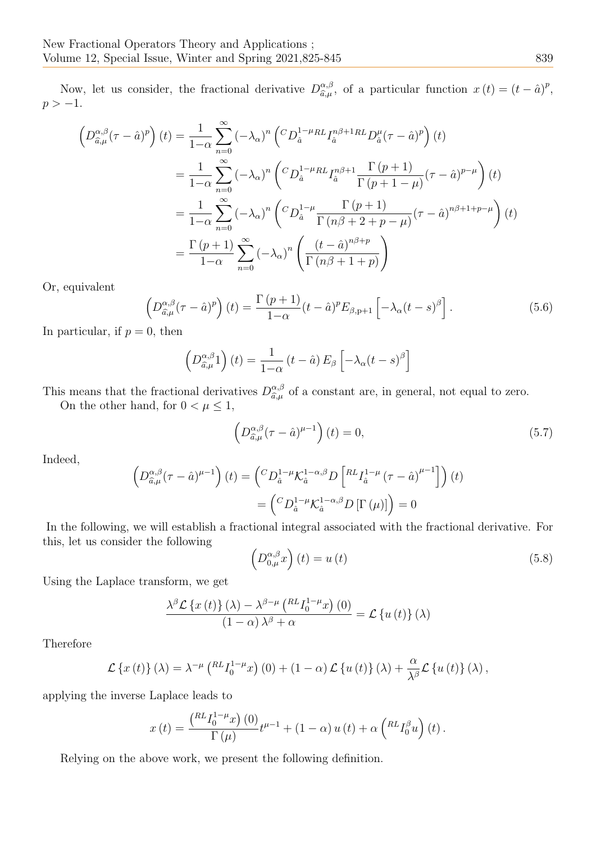Now, let us consider, the fractional derivative  $D_{\hat{\sigma}\mu}^{\alpha,\beta}$  $\hat{a},\hat{\mu}}^{\alpha,\beta}$ , of a particular function  $x(t) = (t - \hat{a})^p$ ,  $p > -1$ .

$$
\left(D_{\hat{a},\mu}^{\alpha,\beta}(\tau-\hat{a})^{p}\right)(t) = \frac{1}{1-\alpha} \sum_{n=0}^{\infty} \left(-\lambda_{\alpha}\right)^{n} \left(CD_{\hat{a}}^{1-\mu}RL_{I_{\hat{a}}^{\alpha}}^{n\beta+1RL}D_{\hat{a}}^{\mu}(\tau-\hat{a})^{p}\right)(t)
$$
  
\n
$$
= \frac{1}{1-\alpha} \sum_{n=0}^{\infty} \left(-\lambda_{\alpha}\right)^{n} \left(CD_{\hat{a}}^{1-\mu}RL_{I_{\hat{a}}^{\alpha}}^{n\beta+1} \frac{\Gamma(p+1)}{\Gamma(p+1-\mu)}(\tau-\hat{a})^{p-\mu}\right)(t)
$$
  
\n
$$
= \frac{1}{1-\alpha} \sum_{n=0}^{\infty} \left(-\lambda_{\alpha}\right)^{n} \left(CD_{\hat{a}}^{1-\mu} \frac{\Gamma(p+1)}{\Gamma(n\beta+2+p-\mu)}(\tau-\hat{a})^{n\beta+1+p-\mu}\right)(t)
$$
  
\n
$$
= \frac{\Gamma(p+1)}{1-\alpha} \sum_{n=0}^{\infty} \left(-\lambda_{\alpha}\right)^{n} \left(\frac{(t-\hat{a})^{n\beta+p}}{\Gamma(n\beta+1+p)}\right)
$$

Or, equivalent

<span id="page-14-0"></span>
$$
\left(D_{\hat{a},\mu}^{\alpha,\beta}(\tau-\hat{a})^p\right)(t) = \frac{\Gamma\left(p+1\right)}{1-\alpha}(t-\hat{a})^p E_{\beta,p+1}\left[-\lambda_{\alpha}(t-s)^{\beta}\right].\tag{5.6}
$$

In particular, if  $p = 0$ , then

$$
\left(D_{\hat{a},\mu}^{\alpha,\beta}1\right)(t) = \frac{1}{1-\alpha}(t-\hat{a})E_{\beta}\left[-\lambda_{\alpha}(t-s)^{\beta}\right]
$$

This means that the fractional derivatives  $D_{\hat{a},\mu}^{\alpha,\beta}$  $\hat{a}^{\alpha,\beta}_{,\mu}$  of a constant are, in general, not equal to zero.

On the other hand, for  $0 < \mu \leq 1,$ 

$$
\left(D_{\hat{a},\mu}^{\alpha,\beta}(\tau-\hat{a})^{\mu-1}\right)(t)=0,
$$
\n(5.7)

Indeed,

$$
\left(D_{\hat{a},\mu}^{\alpha,\beta}(\tau-\hat{a})^{\mu-1}\right)(t) = \left(CD_{\hat{a}}^{1-\mu}\mathcal{K}_{\hat{a}}^{1-\alpha,\beta}D\left[\begin{array}{c}RLI_{\hat{a}}^{1-\mu}(\tau-\hat{a})^{\mu-1}\end{array}\right]\right)(t)
$$

$$
= \left(CD_{\hat{a}}^{1-\mu}\mathcal{K}_{\hat{a}}^{1-\alpha,\beta}D\left[\Gamma\left(\mu\right)\right]\right) = 0
$$

In the following, we will establish a fractional integral associated with the fractional derivative. For this, let us consider the following

$$
\left(D_{0,\mu}^{\alpha,\beta}x\right)(t) = u\left(t\right) \tag{5.8}
$$

Using the Laplace transform, we get

$$
\frac{\lambda^{\beta} \mathcal{L}\left\{x\left(t\right)\right\} (\lambda) - \lambda^{\beta-\mu} \left(\mathbb{R}^L I_0^{1-\mu} x\right)(0)}{\left(1-\alpha\right) \lambda^{\beta} + \alpha} = \mathcal{L}\left\{u\left(t\right)\right\} (\lambda)
$$

Therefore

$$
\mathcal{L}\left\{x(t)\right\}(\lambda) = \lambda^{-\mu} \left(\substack{RL}{}{I_0^{1-\mu}}x\right)(0) + (1-\alpha)\mathcal{L}\left\{u(t)\right\}(\lambda) + \frac{\alpha}{\lambda^{\beta}}\mathcal{L}\left\{u(t)\right\}(\lambda),
$$

applying the inverse Laplace leads to

$$
x\left(t\right)=\frac{\left(\begin{matrix}RLI_{0}^{1-\mu}x\right)\left(0\right)}{\Gamma\left(\mu\right)}t^{\mu-1}+\left(1-\alpha\right)u\left(t\right)+\alpha\left(\begin{matrix}RLI_{0}^{\beta}u\right)\left(t\right). \end{matrix}\right.
$$

Relying on the above work, we present the following definition.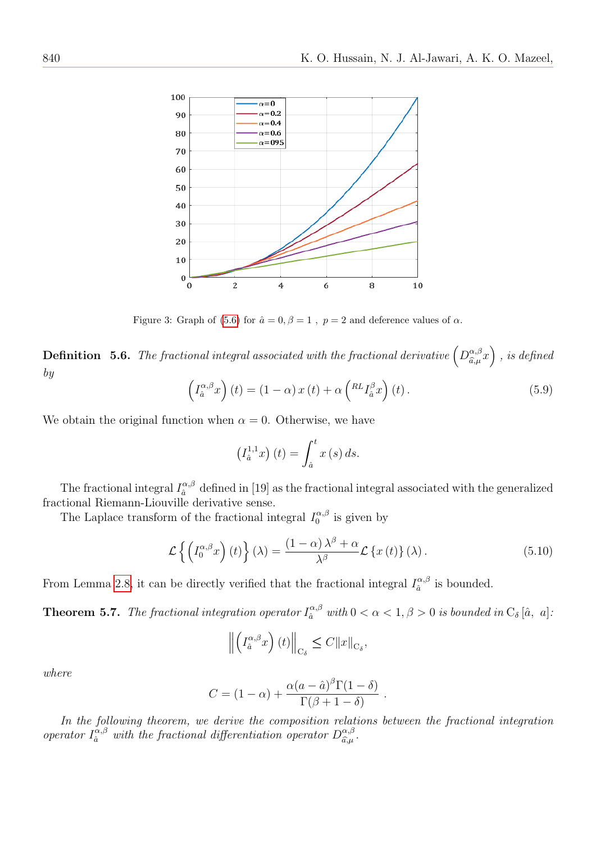

Figure 3: Graph of [\(5.6\)](#page-14-0) for  $\hat{a} = 0, \beta = 1$ ,  $p = 2$  and deference values of  $\alpha$ .

**Definition** 5.6. The fractional integral associated with the fractional derivative  $\left(D_{\hat{\sigma}}^{\alpha,\beta}\right)$  $\left(\begin{smallmatrix} \alpha,\beta\ \widehat{a},\mu \end{smallmatrix}\right)$  , is defined by

$$
\left(I_a^{\alpha,\beta}x\right)(t) = \left(1-\alpha\right)x(t) + \alpha\left({}^{RL}I_a^{\beta}x\right)(t).
$$
\n(5.9)

We obtain the original function when  $\alpha = 0$ . Otherwise, we have

$$
\left(I_a^{1,1}x\right)(t) = \int_a^t x(s) \, ds.
$$

The fractional integral  $I_{\hat{a}}^{\alpha,\beta}$  $\frac{\alpha}{\hat{a}}$  defined in [19] as the fractional integral associated with the generalized fractional Riemann-Liouville derivative sense.

The Laplace transform of the fractional integral  $I_0^{\alpha,\beta}$  $\int_0^{\alpha,\beta}$  is given by

$$
\mathcal{L}\left\{ \left( I_0^{\alpha,\beta}x \right)(t) \right\}(\lambda) = \frac{(1-\alpha)\lambda^{\beta} + \alpha}{\lambda^{\beta}} \mathcal{L}\left\{ x(t) \right\}(\lambda). \tag{5.10}
$$

From Lemma [2.8,](#page-2-3) it can be directly verified that the fractional integral  $I_{\hat{a}}^{\alpha,\beta}$  $\hat{a}^{\alpha,\beta}$  is bounded.

**Theorem 5.7.** The fractional integration operator  $I_{\hat{a}}^{\alpha,\beta}$  with  $0 < \alpha < 1, \beta > 0$  is bounded in  $C_{\delta}$  [â, a].

$$
\left\| \left( I_a^{\alpha,\beta} x \right) (t) \right\|_{\mathcal{C}_\delta} \leq C \|x\|_{\mathcal{C}_\delta},
$$

where

$$
C = (1 - \alpha) + \frac{\alpha (a - \hat{a})^{\beta} \Gamma(1 - \delta)}{\Gamma(\beta + 1 - \delta)}.
$$

In the following theorem, we derive the composition relations between the fractional integration operator  $I_{\hat{a}}^{\alpha,\beta}$  with the fractional differentiation operator  $D_{\hat{a},\mu}^{\alpha,\beta}$  $\hat{a},\beta \hat{a},\mu$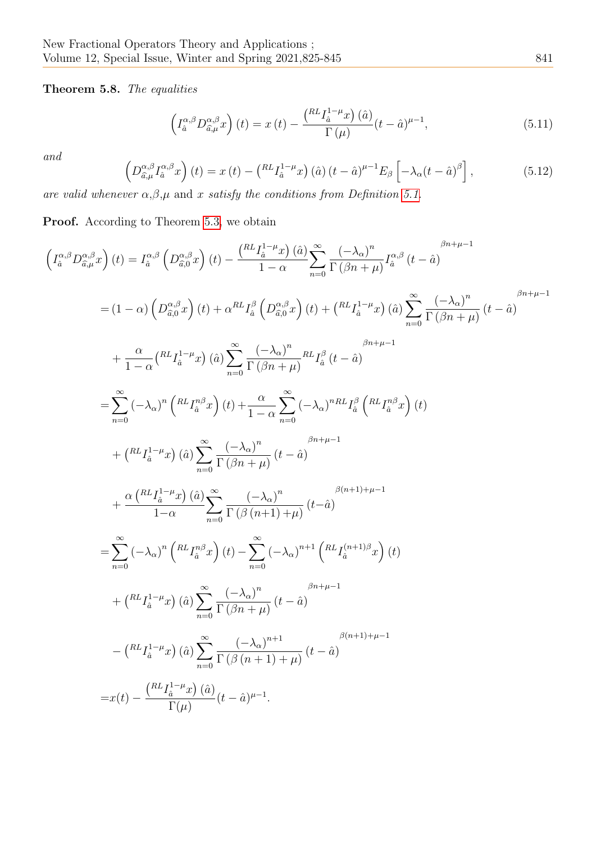Theorem 5.8. The equalities

<span id="page-16-0"></span>
$$
\left(I_{\hat{a}}^{\alpha,\beta}D_{\hat{a},\mu}^{\alpha,\beta}x\right)(t) = x(t) - \frac{\left(\substack{RL}1_{\hat{a}}^{-1-\mu}x\right)(\hat{a})}{\Gamma(\mu)}(t-\hat{a})^{\mu-1},\tag{5.11}
$$

and

$$
\left(D_{\hat{a},\mu}^{\alpha,\beta}I_{\hat{a}}^{\alpha,\beta}x\right)(t) = x(t) - \left(\begin{matrix} R L I_{\hat{a}}^{1-\mu}x \end{matrix}\right)(\hat{a})\left(t - \hat{a}\right)^{\mu-1}E_{\beta}\left[-\lambda_{\alpha}(t - \hat{a})^{\beta}\right],\tag{5.12}
$$

are valid whenever  $\alpha, \beta, \mu$  and x satisfy the conditions from Definition [5.1.](#page-11-1)

Proof. According to Theorem [5.3,](#page-12-0) we obtain

$$
\left(I_{\hat{a}}^{\alpha,\beta}D_{\hat{\alpha},\hat{\mu}}^{\alpha,\beta}x\right)(t) = I_{\hat{a}}^{\alpha,\beta}\left(D_{\hat{a},0}^{\alpha,\beta}x\right)(t) - \frac{\left(RL_{I_{\hat{a}}}^{1-\mu}x\right)(\hat{a})}{1-\alpha}\sum_{n=0}^{\infty}\frac{(-\lambda_{\alpha})^{n}}{\Gamma(\beta n+\mu)}I_{\hat{a}}^{\alpha,\beta}(t-\hat{a})\right.\n= (1-\alpha)\left(D_{\hat{a},0}^{\alpha,\beta}x\right)(t) + \alpha^{RL}I_{\hat{a}}^{\beta}\left(D_{\hat{a},0}^{\alpha,\beta}x\right)(t) + \left(RL_{\hat{a}}^{1-\mu}x\right)(\hat{a})\sum_{n=0}^{\infty}\frac{(-\lambda_{\alpha})^{n}}{\Gamma(\beta n+\mu)}(t-\hat{a})\right.\n+ \frac{\alpha}{1-\alpha}\left(RL_{I_{\hat{a}}}^{1-\mu}x\right)(\hat{a})\sum_{n=0}^{\infty}\frac{(-\lambda_{\alpha})^{n}}{\Gamma(\beta n+\mu)}\frac{RL_{\hat{a}}^{\beta}(t-\hat{a})}{(t-\hat{a})}\right.\n= \sum_{n=0}^{\infty}(-\lambda_{\alpha})^{n}\left(RL_{I_{\hat{a}}}^{n,\beta}x\right)(t) + \frac{\alpha}{1-\alpha}\sum_{n=0}^{\infty}(-\lambda_{\alpha})^{nRL}I_{\hat{a}}^{\beta}\left(RL_{I_{\hat{a}}}^{n,\beta}x\right)(t) \n+ \left(RL_{\hat{a}}^{1-\mu}x\right)(\hat{a})\sum_{n=0}^{\infty}\frac{(-\lambda_{\alpha})^{n}}{\Gamma(\beta n+\mu)}(t-\hat{a})}\right.\n+ \frac{\alpha\left(RL_{I_{\hat{a}}}^{1-\mu}x\right)(\hat{a})\sum_{n=0}^{\infty}\frac{(-\lambda_{\alpha})^{n}}{\Gamma(\beta(n+1)+\mu)}(t-\hat{a})}e^{i(n+1)+\mu-1}\n= \sum_{n=0}^{\infty}(-\lambda_{\alpha})^{n}\left(RL_{I_{\hat{a}}}^{n,\beta}x\right)(t) - \sum_{n=0}^{\infty}(-\lambda_{\alpha})^{n+1}\left(RL_{I_{\hat{a}}}^{(
$$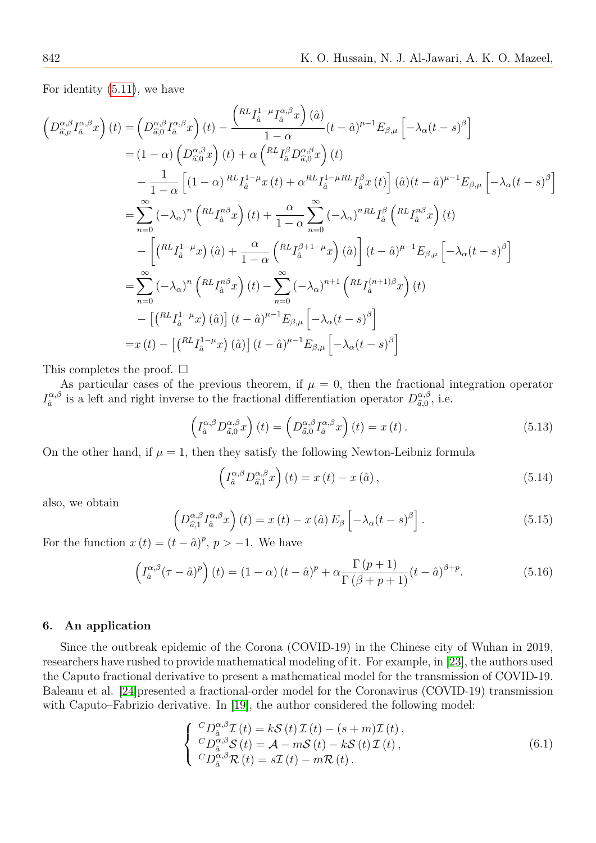For identity [\(5.11\)](#page-16-0), we have

$$
\left(D_{\hat{a},\mu}^{\alpha,\beta}I_{\hat{a}}^{\alpha,\beta}x\right)(t) = \left(D_{\hat{a},0}^{\alpha,\beta}I_{\hat{a}}^{\alpha,\beta}x\right)(t) - \frac{\left(RL_{\hat{a}}L_{\hat{a}}^{1-\mu}I_{\hat{a}}^{\alpha,\beta}x\right)(\hat{a})}{1-\alpha}(t-\hat{a})^{\mu-1}E_{\beta,\mu}\left[-\lambda_{\alpha}(t-s)^{\beta}\right]
$$
  
\n
$$
= (1-\alpha)\left(D_{\hat{a},0}^{\alpha,\beta}x\right)(t) + \alpha\left(RL_{\hat{a}}^{\beta}D_{\hat{a},0}^{\alpha,\beta}x\right)(t)
$$
  
\n
$$
-\frac{1}{1-\alpha}\left[(1-\alpha)RL_{\hat{a}}L_{\hat{a}}^{1-\mu}x(t) + \alpha^{RL}I_{\hat{a}}^{1-\mu RL}I_{\hat{a}}^{\beta}x(t)\right](\hat{a})(t-\hat{a})^{\mu-1}E_{\beta,\mu}\left[-\lambda_{\alpha}(t-s)^{\beta}\right]
$$
  
\n
$$
=\sum_{n=0}^{\infty}(-\lambda_{\alpha})^{n}\left(RL_{\hat{a}}T_{\hat{a}}^{\beta}x\right)(t) + \frac{\alpha}{1-\alpha}\sum_{n=0}^{\infty}(-\lambda_{\alpha})^{nRL}I_{\hat{a}}^{\beta}\left(RL_{\hat{a}}T_{\hat{a}}^{\beta}x\right)(t)
$$
  
\n
$$
-\left[\left(RL_{\hat{a}}L_{\hat{a}}^{1-\mu}x\right)(\hat{a}) + \frac{\alpha}{1-\alpha}\left(RL_{\hat{a}}^{\beta+1-\mu}x\right)(\hat{a})\right](t-\hat{a})^{\mu-1}E_{\beta,\mu}\left[-\lambda_{\alpha}(t-s)^{\beta}\right]
$$
  
\n
$$
=\sum_{n=0}^{\infty}(-\lambda_{\alpha})^{n}\left(RL_{\hat{a}}T_{\hat{a}}^{\beta}x\right)(t) - \sum_{n=0}^{\infty}(-\lambda_{\alpha})^{n+1}\left(RL_{\hat{a}}(t+1)\beta x\right)(t)
$$
  
\n
$$
-\left[\left(RL_{\hat{a}}^{1-\mu}x\right)(\hat{a})\right](t-\hat{a})^
$$

This completes the proof.  $\square$ 

As particular cases of the previous theorem, if  $\mu = 0$ , then the fractional integration operator  $I_{\hat a}^{\alpha,\beta}$  $\frac{\alpha}{\hat{a}}$  is a left and right inverse to the fractional differentiation operator  $D_{\hat{a},0}^{\alpha,\beta}$  $\hat{a}^{\alpha,\beta}_{\hat{a},0}$ , i.e.

$$
\left(I_a^{\alpha,\beta} D_{\widehat{a},0}^{\alpha,\beta} x\right)(t) = \left(D_{\widehat{a},0}^{\alpha,\beta} I_a^{\alpha,\beta} x\right)(t) = x(t).
$$
\n(5.13)

On the other hand, if  $\mu = 1$ , then they satisfy the following Newton-Leibniz formula

$$
\left(I_a^{\alpha,\beta} D_{\widehat{a},1}^{\alpha,\beta} x\right)(t) = x(t) - x(\widehat{a}),\tag{5.14}
$$

also, we obtain

$$
\left(D_{\hat{a},1}^{\alpha,\beta}I_{\hat{a}}^{\alpha,\beta}x\right)(t) = x(t) - x(\hat{a})E_{\beta}\left[-\lambda_{\alpha}(t-s)^{\beta}\right].
$$
\n(5.15)

For the function  $x(t) = (t - \hat{a})^p$ ,  $p > -1$ . We have

<span id="page-17-0"></span>
$$
\left(I_a^{\alpha,\beta}(\tau-\hat{a})^p\right)(t) = (1-\alpha)(t-\hat{a})^p + \alpha \frac{\Gamma(p+1)}{\Gamma(\beta+p+1)}(t-\hat{a})^{\beta+p}.\tag{5.16}
$$

#### 6. An application

Since the outbreak epidemic of the Corona (COVID-19) in the Chinese city of Wuhan in 2019, researchers have rushed to provide mathematical modeling of it. For example, in [\[23\]](#page-20-21), the authors used the Caputo fractional derivative to present a mathematical model for the transmission of COVID-19. Baleanu et al. [\[24\]](#page-20-22)presented a fractional-order model for the Coronavirus (COVID-19) transmission with Caputo–Fabrizio derivative. In [\[19\]](#page-20-18), the author considered the following model:

$$
\begin{cases}\n^{C}D_{\hat{a}}^{\alpha,\beta}\mathcal{I}(t) = k\mathcal{S}(t)\mathcal{I}(t) - (s+m)\mathcal{I}(t),\\ \n^{C}D_{\hat{a}}^{\alpha,\beta}\mathcal{S}(t) = \mathcal{A} - m\mathcal{S}(t) - k\mathcal{S}(t)\mathcal{I}(t),\\ \n^{C}D_{\hat{a}}^{\alpha,\beta}\mathcal{R}(t) = s\mathcal{I}(t) - m\mathcal{R}(t).\n\end{cases} \tag{6.1}
$$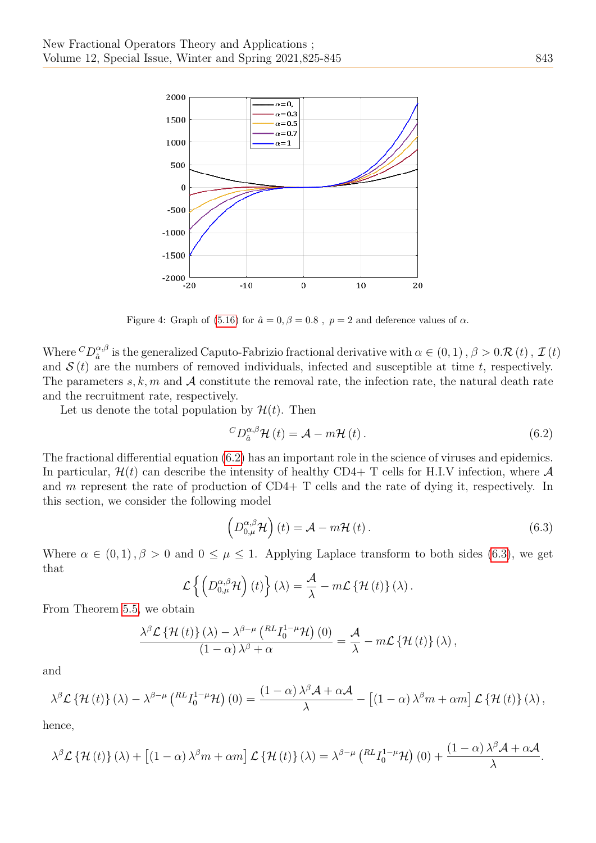

Figure 4: Graph of [\(5.16\)](#page-17-0) for  $\hat{a} = 0, \beta = 0.8$ ,  $p = 2$  and deference values of  $\alpha$ .

Where  ${}^CD^{\alpha, \beta}_{\hat{a}}$  $\frac{\alpha,\beta}{\hat{a}}$  is the generalized Caputo-Fabrizio fractional derivative with  $\alpha \in (0,1)$  ,  $\beta > 0.\mathcal{R}(t)$  ,  $\mathcal{I}(t)$ and  $\mathcal{S}(t)$  are the numbers of removed individuals, infected and susceptible at time t, respectively. The parameters s, k, m and  $\mathcal A$  constitute the removal rate, the infection rate, the natural death rate and the recruitment rate, respectively.

Let us denote the total population by  $\mathcal{H}(t)$ . Then

<span id="page-18-0"></span>
$$
{}^{C}D_{\hat{a}}^{\alpha,\beta}\mathcal{H}\left(t\right) = \mathcal{A} - m\mathcal{H}\left(t\right). \tag{6.2}
$$

The fractional differential equation [\(6.2\)](#page-18-0) has an important role in the science of viruses and epidemics. In particular,  $\mathcal{H}(t)$  can describe the intensity of healthy CD4+ T cells for H.I.V infection, where  $\mathcal{A}$ and m represent the rate of production of CD4+ T cells and the rate of dying it, respectively. In this section, we consider the following model

<span id="page-18-1"></span>
$$
\left(D_{0,\mu}^{\alpha,\beta}\mathcal{H}\right)(t) = \mathcal{A} - m\mathcal{H}(t).
$$
\n(6.3)

Where  $\alpha \in (0,1)$ ,  $\beta > 0$  and  $0 \leq \mu \leq 1$ . Applying Laplace transform to both sides [\(6.3\)](#page-18-1), we get that

$$
\mathcal{L}\left\{ \left(D_{0,\mu}^{\alpha,\beta}\mathcal{H}\right)(t)\right\} (\lambda)=\frac{\mathcal{A}}{\lambda}-m\mathcal{L}\left\{ \mathcal{H}\left(t\right)\right\} (\lambda).
$$

From Theorem [5.5,](#page-13-0) we obtain

$$
\frac{\lambda^{\beta} \mathcal{L} \left\{ \mathcal{H} \left( t \right) \right\} (\lambda) - \lambda^{\beta - \mu} \left( \frac{RL I_0^{1 - \mu} \mathcal{H}}{\lambda} \right) (0)}{\left( 1 - \alpha \right) \lambda^{\beta} + \alpha} = \frac{\mathcal{A}}{\lambda} - m \mathcal{L} \left\{ \mathcal{H} \left( t \right) \right\} (\lambda) ,
$$

and

$$
\lambda^{\beta} \mathcal{L} \left\{ \mathcal{H} \left( t \right) \right\} (\lambda) - \lambda^{\beta - \mu} \left( \mathbb{R}^L I_0^{1 - \mu} \mathcal{H} \right) (0) = \frac{(1 - \alpha) \lambda^{\beta} \mathcal{A} + \alpha \mathcal{A}}{\lambda} - \left[ (1 - \alpha) \lambda^{\beta} m + \alpha m \right] \mathcal{L} \left\{ \mathcal{H} \left( t \right) \right\} (\lambda) ,
$$

hence,

$$
\lambda^{\beta} \mathcal{L} \left\{ \mathcal{H} \left( t \right) \right\} (\lambda) + \left[ \left( 1 - \alpha \right) \lambda^{\beta} m + \alpha m \right] \mathcal{L} \left\{ \mathcal{H} \left( t \right) \right\} (\lambda) = \lambda^{\beta - \mu} \left( \mathbb{R}^L I_0^{1 - \mu} \mathcal{H} \right) (0) + \frac{\left( 1 - \alpha \right) \lambda^{\beta} \mathcal{A} + \alpha \mathcal{A}}{\lambda}.
$$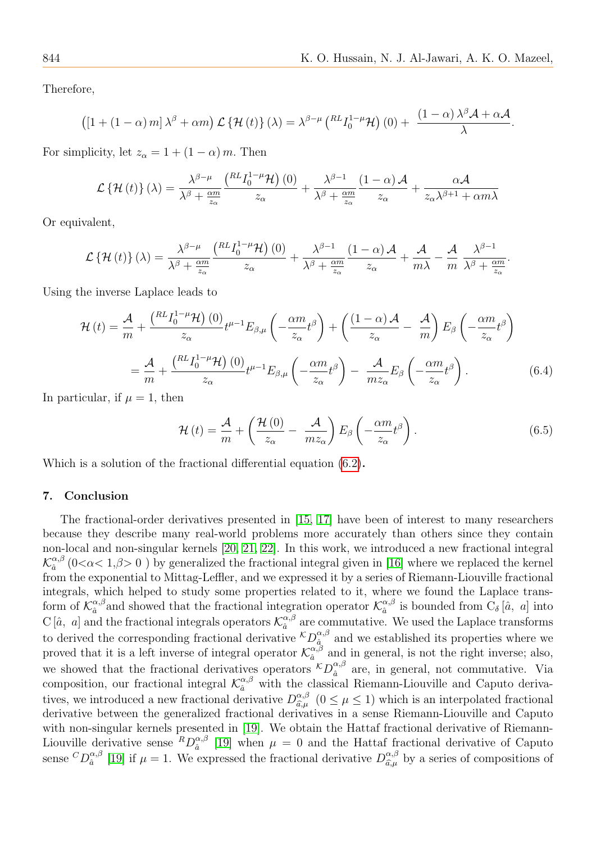Therefore,

$$
\left(\left[1+(1-\alpha)\,m\right]\lambda^{\beta}+\alpha m\right)\mathcal{L}\left\{\mathcal{H}\left(t\right)\right\}(\lambda)=\lambda^{\beta-\mu}\left(\phantom{}_{\quad}^{RL}I_{0}^{1-\mu}\mathcal{H}\right)\left(0\right)+\frac{\left(1-\alpha\right)\lambda^{\beta}\mathcal{A}+\alpha\mathcal{A}}{\lambda}.
$$

For simplicity, let  $z_{\alpha} = 1 + (1 - \alpha) m$ . Then

$$
\mathcal{L}\left\{\mathcal{H}\left(t\right)\right\}\left(\lambda\right) = \frac{\lambda^{\beta-\mu}}{\lambda^{\beta} + \frac{\alpha m}{z_{\alpha}}} \frac{\left(\mathcal{R}L I_{0}^{1-\mu}\mathcal{H}\right)\left(0\right)}{z_{\alpha}} + \frac{\lambda^{\beta-1}}{\lambda^{\beta} + \frac{\alpha m}{z_{\alpha}}} \frac{\left(1-\alpha\right)\mathcal{A}}{z_{\alpha}} + \frac{\alpha \mathcal{A}}{z_{\alpha}\lambda^{\beta+1} + \alpha m\lambda}
$$

Or equivalent,

$$
\mathcal{L}\left\{\mathcal{H}\left(t\right)\right\}(\lambda) = \frac{\lambda^{\beta-\mu}}{\lambda^{\beta} + \frac{\alpha m}{z_{\alpha}}} \frac{\left(\substack{RL} \prod_{0}^{1-\mu} \mathcal{H}\right)\left(0\right)}{z_{\alpha}} + \frac{\lambda^{\beta-1}}{\lambda^{\beta} + \frac{\alpha m}{z_{\alpha}}} \frac{\left(1-\alpha\right)\mathcal{A}}{z_{\alpha}} + \frac{\mathcal{A}}{m\lambda} - \frac{\mathcal{A}}{m} \frac{\lambda^{\beta-1}}{\lambda^{\beta} + \frac{\alpha m}{z_{\alpha}}}.
$$

Using the inverse Laplace leads to

$$
\mathcal{H}(t) = \frac{\mathcal{A}}{m} + \frac{\left(\frac{RL}{l_0^{1-\mu}}\mathcal{H}\right)(0)}{z_{\alpha}}t^{\mu-1}E_{\beta,\mu}\left(-\frac{\alpha m}{z_{\alpha}}t^{\beta}\right) + \left(\frac{(1-\alpha)\mathcal{A}}{z_{\alpha}} - \frac{\mathcal{A}}{m}\right)E_{\beta}\left(-\frac{\alpha m}{z_{\alpha}}t^{\beta}\right)
$$

$$
= \frac{\mathcal{A}}{m} + \frac{\left(\frac{RL}{l_0^{1-\mu}}\mathcal{H}\right)(0)}{z_{\alpha}}t^{\mu-1}E_{\beta,\mu}\left(-\frac{\alpha m}{z_{\alpha}}t^{\beta}\right) - \frac{\mathcal{A}}{mz_{\alpha}}E_{\beta}\left(-\frac{\alpha m}{z_{\alpha}}t^{\beta}\right). \tag{6.4}
$$

In particular, if  $\mu = 1$ , then

$$
\mathcal{H}\left(t\right) = \frac{\mathcal{A}}{m} + \left(\frac{\mathcal{H}\left(0\right)}{z_{\alpha}} - \frac{\mathcal{A}}{m z_{\alpha}}\right) E_{\beta} \left(-\frac{\alpha m}{z_{\alpha}} t^{\beta}\right). \tag{6.5}
$$

Which is a solution of the fractional differential equation [\(6.2\)](#page-18-0).

#### 7. Conclusion

The fractional-order derivatives presented in [\[15,](#page-20-14) [17\]](#page-20-16) have been of interest to many researchers because they describe many real-world problems more accurately than others since they contain non-local and non-singular kernels [\[20,](#page-20-19) [21,](#page-20-20) [22\]](#page-20-23). In this work, we introduced a new fractional integral  $\mathcal{K}_{\hat{a}}^{\alpha,\beta}$  $\frac{\alpha,\beta}{\hat{a}}$  (0< $\alpha$ < 1, $\beta$ > 0) by generalized the fractional integral given in [\[16\]](#page-20-15) where we replaced the kernel from the exponential to Mittag-Leffler, and we expressed it by a series of Riemann-Liouville fractional integrals, which helped to study some properties related to it, where we found the Laplace transform of  $\mathcal{K}_{\hat{a}}^{\alpha,\beta}$  $\alpha, \beta$  and showed that the fractional integration operator  $\mathcal{K}_{\hat{a}}^{\alpha,\beta}$  $\alpha_{\hat{a}}^{\alpha,\beta}$  is bounded from  $C_{\delta}[\hat{a}, a]$  into C [ $\hat{a}$ , a] and the fractional integrals operators  $\mathcal{K}_{\hat{a}}^{\alpha,\beta}$  $\frac{\alpha,\beta}{\hat{a}}$  are commutative. We used the Laplace transforms to derived the corresponding fractional derivative  ${}^{\mathcal{K}}D_{\hat{a}}^{\alpha,\beta}$  $\frac{\alpha}{\hat{a}}$  and we established its properties where we proved that it is a left inverse of integral operator  $\mathcal{K}_{\hat{a}}^{\alpha,\tilde{\beta}}$  $\alpha_{\hat{a}}^{\alpha,\beta}$  and in general, is not the right inverse; also, we showed that the fractional derivatives operators  ${}^{\mathcal{K}}D_{\hat{a}}^{\alpha,\beta}$  $\alpha_{\hat{a}}^{\alpha,\beta}$  are, in general, not commutative. Via composition, our fractional integral  $\mathcal{K}_{\hat{a}}^{\alpha,\beta}$  with the classical Riemann-Liouville and Caputo derivatives, we introduced a new fractional derivative  $D_{\hat{\sigma}}^{\alpha,\beta}$  $\alpha_{\beta,\mu}^{\alpha,\beta}$   $(0 \leq \mu \leq 1)$  which is an interpolated fractional<br>instituted in a sense Piemann Liquida and Caputo derivative between the generalized fractional derivatives in a sense Riemann-Liouville and Caputo with non-singular kernels presented in [\[19\]](#page-20-18). We obtain the Hattaf fractional derivative of Riemann-Liouville derivative sense  ${}^R D_{\hat{a}}^{\alpha,\beta}$  $\frac{\alpha}{\hat{a}}$  [\[19\]](#page-20-18) when  $\mu = 0$  and the Hattaf fractional derivative of Caputo sense  $^{C}D_{\hat{a}}^{\alpha,\beta}$  $\int_{\hat{a}}^{\alpha,\beta}$  [\[19\]](#page-20-18) if  $\mu = 1$ . We expressed the fractional derivative  $D_{\hat{a},\mu}^{\alpha,\beta}$  $\hat{a},\hat{\mu}$  by a series of compositions of